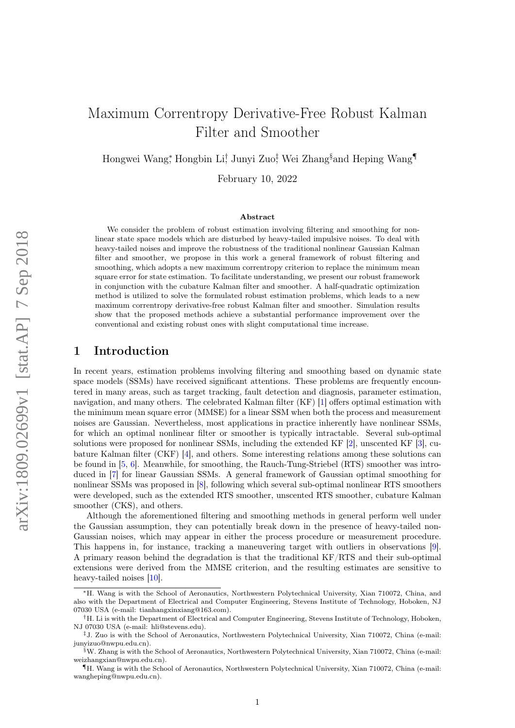# Maximum Correntropy Derivative-Free Robust Kalman Filter and Smoother

Hongwei Wang<sup>\*</sup>, Hongbin Li<sup>†</sup>, Junyi Zuo<sup>‡</sup>, Wei Zhang<sup>§</sup>and Heping Wang<sup>¶</sup>

February 10, 2022

#### Abstract

We consider the problem of robust estimation involving filtering and smoothing for nonlinear state space models which are disturbed by heavy-tailed impulsive noises. To deal with heavy-tailed noises and improve the robustness of the traditional nonlinear Gaussian Kalman filter and smoother, we propose in this work a general framework of robust filtering and smoothing, which adopts a new maximum correntropy criterion to replace the minimum mean square error for state estimation. To facilitate understanding, we present our robust framework in conjunction with the cubature Kalman filter and smoother. A half-quadratic optimization method is utilized to solve the formulated robust estimation problems, which leads to a new maximum correntropy derivative-free robust Kalman filter and smoother. Simulation results show that the proposed methods achieve a substantial performance improvement over the conventional and existing robust ones with slight computational time increase.

### 1 Introduction

In recent years, estimation problems involving filtering and smoothing based on dynamic state space models (SSMs) have received significant attentions. These problems are frequently encountered in many areas, such as target tracking, fault detection and diagnosis, parameter estimation, navigation, and many others. The celebrated Kalman filter (KF) [\[1\]](#page-17-0) offers optimal estimation with the minimum mean square error (MMSE) for a linear SSM when both the process and measurement noises are Gaussian. Nevertheless, most applications in practice inherently have nonlinear SSMs, for which an optimal nonlinear filter or smoother is typically intractable. Several sub-optimal solutions were proposed for nonlinear SSMs, including the extended KF [\[2\]](#page-17-1), unscented KF [\[3\]](#page-17-2), cubature Kalman filter (CKF) [\[4\]](#page-17-3), and others. Some interesting relations among these solutions can be found in [\[5,](#page-17-4) [6\]](#page-17-5). Meanwhile, for smoothing, the Rauch-Tung-Striebel (RTS) smoother was introduced in [\[7\]](#page-17-6) for linear Gaussian SSMs. A general framework of Gaussian optimal smoothing for nonlinear SSMs was proposed in [\[8\]](#page-18-0), following which several sub-optimal nonlinear RTS smoothers were developed, such as the extended RTS smoother, unscented RTS smoother, cubature Kalman smoother (CKS), and others.

Although the aforementioned filtering and smoothing methods in general perform well under the Gaussian assumption, they can potentially break down in the presence of heavy-tailed non-Gaussian noises, which may appear in either the process procedure or measurement procedure. This happens in, for instance, tracking a maneuvering target with outliers in observations [\[9\]](#page-18-1). A primary reason behind the degradation is that the traditional KF/RTS and their sub-optimal extensions were derived from the MMSE criterion, and the resulting estimates are sensitive to heavy-tailed noises [\[10\]](#page-18-2).

<sup>∗</sup>H. Wang is with the School of Aeronautics, Northwestern Polytechnical University, Xian 710072, China, and also with the Department of Electrical and Computer Engineering, Stevens Institute of Technology, Hoboken, NJ 07030 USA (e-mail: tianhangxinxiang@163.com).

<sup>†</sup>H. Li is with the Department of Electrical and Computer Engineering, Stevens Institute of Technology, Hoboken, NJ 07030 USA (e-mail: hli@stevens.edu).

<sup>‡</sup>J. Zuo is with the School of Aeronautics, Northwestern Polytechnical University, Xian 710072, China (e-mail: junyizuo@nwpu.edu.cn).

<sup>§</sup>W. Zhang is with the School of Aeronautics, Northwestern Polytechnical University, Xian 710072, China (e-mail: weizhangxian@nwpu.edu.cn).

<sup>¶</sup>H. Wang is with the School of Aeronautics, Northwestern Polytechnical University, Xian 710072, China (e-mail: wangheping@nwpu.edu.cn).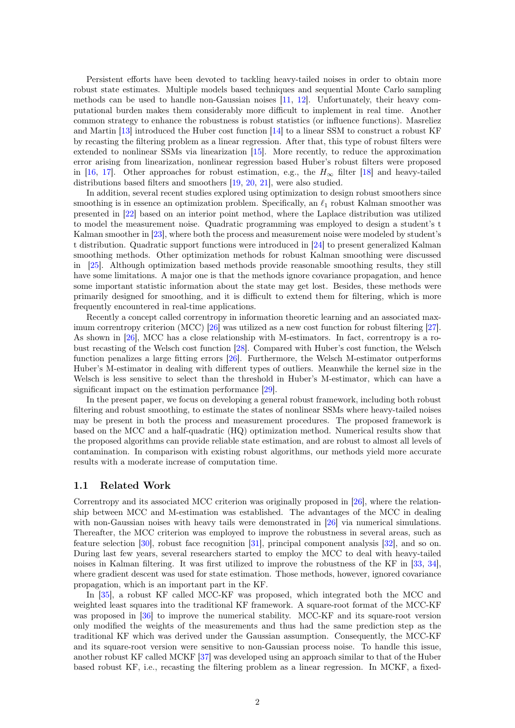Persistent efforts have been devoted to tackling heavy-tailed noises in order to obtain more robust state estimates. Multiple models based techniques and sequential Monte Carlo sampling methods can be used to handle non-Gaussian noises [\[11,](#page-18-3) [12\]](#page-18-4). Unfortunately, their heavy computational burden makes them considerably more difficult to implement in real time. Another common strategy to enhance the robustness is robust statistics (or influence functions). Masreliez and Martin [\[13\]](#page-18-5) introduced the Huber cost function [\[14\]](#page-18-6) to a linear SSM to construct a robust KF by recasting the filtering problem as a linear regression. After that, this type of robust filters were extended to nonlinear SSMs via linearization [\[15\]](#page-18-7). More recently, to reduce the approximation error arising from linearization, nonlinear regression based Huber's robust filters were proposed in [\[16,](#page-18-8) [17\]](#page-18-9). Other approaches for robust estimation, e.g., the  $H_{\infty}$  filter [\[18\]](#page-18-10) and heavy-tailed distributions based filters and smoothers [\[19,](#page-18-11) [20,](#page-18-12) [21\]](#page-18-13), were also studied.

In addition, several recent studies explored using optimization to design robust smoothers since smoothing is in essence an optimization problem. Specifically, an  $\ell_1$  robust Kalman smoother was presented in [\[22\]](#page-18-14) based on an interior point method, where the Laplace distribution was utilized to model the measurement noise. Quadratic programming was employed to design a student's t Kalman smoother in [\[23\]](#page-18-15), where both the process and measurement noise were modeled by student's t distribution. Quadratic support functions were introduced in [\[24\]](#page-18-16) to present generalized Kalman smoothing methods. Other optimization methods for robust Kalman smoothing were discussed in [\[25\]](#page-18-17). Although optimization based methods provide reasonable smoothing results, they still have some limitations. A major one is that the methods ignore covariance propagation, and hence some important statistic information about the state may get lost. Besides, these methods were primarily designed for smoothing, and it is difficult to extend them for filtering, which is more frequently encountered in real-time applications.

Recently a concept called correntropy in information theoretic learning and an associated maximum correntropy criterion (MCC) [\[26\]](#page-18-18) was utilized as a new cost function for robust filtering [\[27\]](#page-19-0). As shown in [\[26\]](#page-18-18), MCC has a close relationship with M-estimators. In fact, correntropy is a robust recasting of the Welsch cost function [\[28\]](#page-19-1). Compared with Huber's cost function, the Welsch function penalizes a large fitting errors [\[26\]](#page-18-18). Furthermore, the Welsch M-estimator outperforms Huber's M-estimator in dealing with different types of outliers. Meanwhile the kernel size in the Welsch is less sensitive to select than the threshold in Huber's M-estimator, which can have a significant impact on the estimation performance [\[29\]](#page-19-2).

In the present paper, we focus on developing a general robust framework, including both robust filtering and robust smoothing, to estimate the states of nonlinear SSMs where heavy-tailed noises may be present in both the process and measurement procedures. The proposed framework is based on the MCC and a half-quadratic (HQ) optimization method. Numerical results show that the proposed algorithms can provide reliable state estimation, and are robust to almost all levels of contamination. In comparison with existing robust algorithms, our methods yield more accurate results with a moderate increase of computation time.

#### 1.1 Related Work

Correntropy and its associated MCC criterion was originally proposed in [\[26\]](#page-18-18), where the relationship between MCC and M-estimation was established. The advantages of the MCC in dealing with non-Gaussian noises with heavy tails were demonstrated in [\[26\]](#page-18-18) via numerical simulations. Thereafter, the MCC criterion was employed to improve the robustness in several areas, such as feature selection [\[30\]](#page-19-3), robust face recognition [\[31\]](#page-19-4), principal component analysis [\[32\]](#page-19-5), and so on. During last few years, several researchers started to employ the MCC to deal with heavy-tailed noises in Kalman filtering. It was first utilized to improve the robustness of the KF in [\[33,](#page-19-6) [34\]](#page-19-7), where gradient descent was used for state estimation. Those methods, however, ignored covariance propagation, which is an important part in the KF.

In [\[35\]](#page-19-8), a robust KF called MCC-KF was proposed, which integrated both the MCC and weighted least squares into the traditional KF framework. A square-root format of the MCC-KF was proposed in [\[36\]](#page-19-9) to improve the numerical stability. MCC-KF and its square-root version only modified the weights of the measurements and thus had the same prediction step as the traditional KF which was derived under the Gaussian assumption. Consequently, the MCC-KF and its square-root version were sensitive to non-Gaussian process noise. To handle this issue, another robust KF called MCKF [\[37\]](#page-19-10) was developed using an approach similar to that of the Huber based robust KF, i.e., recasting the filtering problem as a linear regression. In MCKF, a fixed-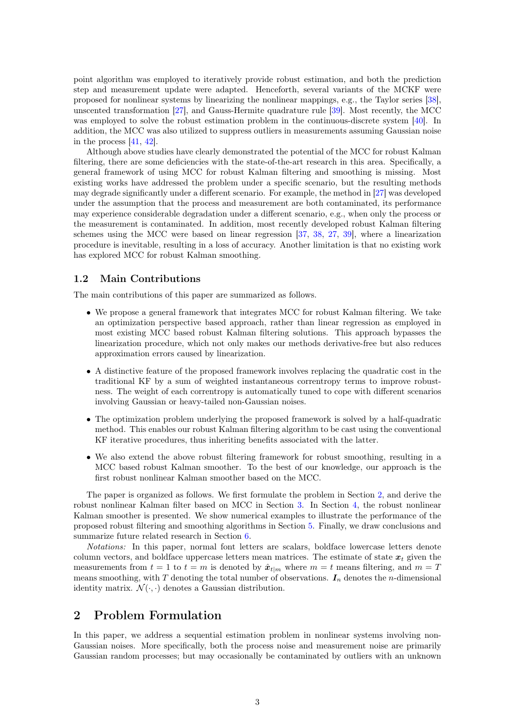point algorithm was employed to iteratively provide robust estimation, and both the prediction step and measurement update were adapted. Henceforth, several variants of the MCKF were proposed for nonlinear systems by linearizing the nonlinear mappings, e.g., the Taylor series [\[38\]](#page-19-11), unscented transformation [\[27\]](#page-19-0), and Gauss-Hermite quadrature rule [\[39\]](#page-19-12). Most recently, the MCC was employed to solve the robust estimation problem in the continuous-discrete system [\[40\]](#page-19-13). In addition, the MCC was also utilized to suppress outliers in measurements assuming Gaussian noise in the process [\[41,](#page-19-14) [42\]](#page-19-15).

Although above studies have clearly demonstrated the potential of the MCC for robust Kalman filtering, there are some deficiencies with the state-of-the-art research in this area. Specifically, a general framework of using MCC for robust Kalman filtering and smoothing is missing. Most existing works have addressed the problem under a specific scenario, but the resulting methods may degrade significantly under a different scenario. For example, the method in [\[27\]](#page-19-0) was developed under the assumption that the process and measurement are both contaminated, its performance may experience considerable degradation under a different scenario, e.g., when only the process or the measurement is contaminated. In addition, most recently developed robust Kalman filtering schemes using the MCC were based on linear regression [\[37,](#page-19-10) [38,](#page-19-11) [27,](#page-19-0) [39\]](#page-19-12), where a linearization procedure is inevitable, resulting in a loss of accuracy. Another limitation is that no existing work has explored MCC for robust Kalman smoothing.

#### 1.2 Main Contributions

The main contributions of this paper are summarized as follows.

- We propose a general framework that integrates MCC for robust Kalman filtering. We take an optimization perspective based approach, rather than linear regression as employed in most existing MCC based robust Kalman filtering solutions. This approach bypasses the linearization procedure, which not only makes our methods derivative-free but also reduces approximation errors caused by linearization.
- A distinctive feature of the proposed framework involves replacing the quadratic cost in the traditional KF by a sum of weighted instantaneous correntropy terms to improve robustness. The weight of each correntropy is automatically tuned to cope with different scenarios involving Gaussian or heavy-tailed non-Gaussian noises.
- The optimization problem underlying the proposed framework is solved by a half-quadratic method. This enables our robust Kalman filtering algorithm to be cast using the conventional KF iterative procedures, thus inheriting benefits associated with the latter.
- We also extend the above robust filtering framework for robust smoothing, resulting in a MCC based robust Kalman smoother. To the best of our knowledge, our approach is the first robust nonlinear Kalman smoother based on the MCC.

The paper is organized as follows. We first formulate the problem in Section [2,](#page-2-0) and derive the robust nonlinear Kalman filter based on MCC in Section [3.](#page-3-0) In Section [4,](#page-7-0) the robust nonlinear Kalman smoother is presented. We show numerical examples to illustrate the performance of the proposed robust filtering and smoothing algorithms in Section [5.](#page-9-0) Finally, we draw conclusions and summarize future related research in Section [6.](#page-14-0)

Notations: In this paper, normal font letters are scalars, boldface lowercase letters denote column vectors, and boldface uppercase letters mean matrices. The estimate of state  $x_t$  given the measurements from  $t = 1$  to  $t = m$  is denoted by  $\hat{x}_{t|m}$  where  $m = t$  means filtering, and  $m = T$ means smoothing, with T denoting the total number of observations.  $I_n$  denotes the n-dimensional identity matrix.  $\mathcal{N}(\cdot, \cdot)$  denotes a Gaussian distribution.

### <span id="page-2-0"></span>2 Problem Formulation

In this paper, we address a sequential estimation problem in nonlinear systems involving non-Gaussian noises. More specifically, both the process noise and measurement noise are primarily Gaussian random processes; but may occasionally be contaminated by outliers with an unknown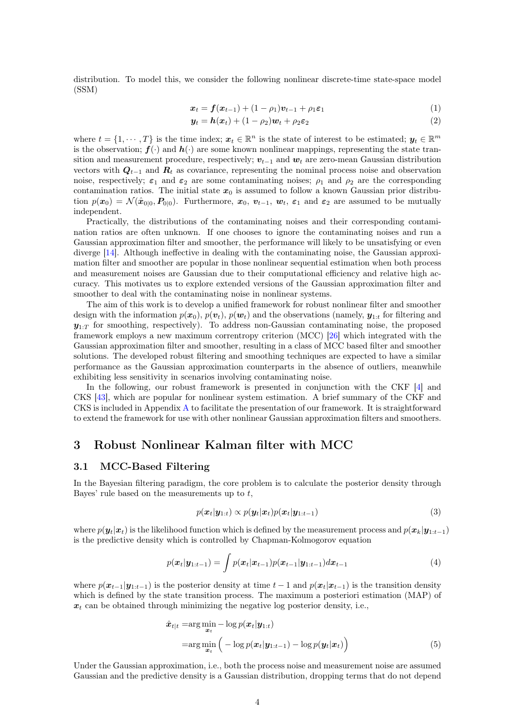distribution. To model this, we consider the following nonlinear discrete-time state-space model (SSM)

<span id="page-3-4"></span><span id="page-3-3"></span>
$$
\boldsymbol{x}_t = \boldsymbol{f}(\boldsymbol{x}_{t-1}) + (1 - \rho_1)\boldsymbol{v}_{t-1} + \rho_1 \boldsymbol{\varepsilon}_1 \tag{1}
$$

$$
\mathbf{y}_t = \mathbf{h}(\mathbf{x}_t) + (1 - \rho_2)\mathbf{w}_t + \rho_2 \boldsymbol{\varepsilon}_2 \tag{2}
$$

where  $t = \{1, \dots, T\}$  is the time index;  $x_t \in \mathbb{R}^n$  is the state of interest to be estimated;  $y_t \in \mathbb{R}^m$ is the observation;  $f(\cdot)$  and  $h(\cdot)$  are some known nonlinear mappings, representing the state transition and measurement procedure, respectively;  $v_{t-1}$  and  $w_t$  are zero-mean Gaussian distribution vectors with  $Q_{t-1}$  and  $R_t$  as covariance, representing the nominal process noise and observation noise, respectively;  $\varepsilon_1$  and  $\varepsilon_2$  are some contaminating noises;  $\rho_1$  and  $\rho_2$  are the corresponding contamination ratios. The initial state  $x_0$  is assumed to follow a known Gaussian prior distribution  $p(x_0) = \mathcal{N}(\hat{x}_{0|0}, P_{0|0})$ . Furthermore,  $x_0, v_{t-1}, w_t, \varepsilon_1$  and  $\varepsilon_2$  are assumed to be mutually independent.

Practically, the distributions of the contaminating noises and their corresponding contamination ratios are often unknown. If one chooses to ignore the contaminating noises and run a Gaussian approximation filter and smoother, the performance will likely to be unsatisfying or even diverge [\[14\]](#page-18-6). Although ineffective in dealing with the contaminating noise, the Gaussian approximation filter and smoother are popular in those nonlinear sequential estimation when both process and measurement noises are Gaussian due to their computational efficiency and relative high accuracy. This motivates us to explore extended versions of the Gaussian approximation filter and smoother to deal with the contaminating noise in nonlinear systems.

The aim of this work is to develop a unified framework for robust nonlinear filter and smoother design with the information  $p(x_0), p(v_t), p(w_t)$  and the observations (namely,  $y_{1:t}$  for filtering and  $y_{1:T}$  for smoothing, respectively). To address non-Gaussian contaminating noise, the proposed framework employs a new maximum correntropy criterion (MCC) [\[26\]](#page-18-18) which integrated with the Gaussian approximation filter and smoother, resulting in a class of MCC based filter and smoother solutions. The developed robust filtering and smoothing techniques are expected to have a similar performance as the Gaussian approximation counterparts in the absence of outliers, meanwhile exhibiting less sensitivity in scenarios involving contaminating noise.

In the following, our robust framework is presented in conjunction with the CKF [\[4\]](#page-17-3) and CKS [\[43\]](#page-19-16), which are popular for nonlinear system estimation. A brief summary of the CKF and CKS is included in Appendix [A](#page-14-1) to facilitate the presentation of our framework. It is straightforward to extend the framework for use with other nonlinear Gaussian approximation filters and smoothers.

### <span id="page-3-0"></span>3 Robust Nonlinear Kalman filter with MCC

#### <span id="page-3-2"></span>3.1 MCC-Based Filtering

In the Bayesian filtering paradigm, the core problem is to calculate the posterior density through Bayes' rule based on the measurements up to  $t$ ,

$$
p(\boldsymbol{x}_t|\boldsymbol{y}_{1:t}) \propto p(\boldsymbol{y}_t|\boldsymbol{x}_t)p(\boldsymbol{x}_t|\boldsymbol{y}_{1:t-1})
$$
\n(3)

where  $p(\mathbf{y}_t|\mathbf{x}_t)$  is the likelihood function which is defined by the measurement process and  $p(\mathbf{x}_k|\mathbf{y}_{1:t-1})$ is the predictive density which is controlled by Chapman-Kolmogorov equation

$$
p(\boldsymbol{x}_t|\boldsymbol{y}_{1:t-1}) = \int p(\boldsymbol{x}_t|\boldsymbol{x}_{t-1}) p(\boldsymbol{x}_{t-1}|\boldsymbol{y}_{1:t-1}) d\boldsymbol{x}_{t-1}
$$
\n(4)

where  $p(x_{t-1}|\mathbf{y}_{1:t-1})$  is the posterior density at time  $t-1$  and  $p(x_t|\mathbf{x}_{t-1})$  is the transition density which is defined by the state transition process. The maximum a posteriori estimation (MAP) of  $x_t$  can be obtained through minimizing the negative log posterior density, i.e.,

<span id="page-3-1"></span>
$$
\hat{\boldsymbol{x}}_{t|t} = \arg\min_{\boldsymbol{x}_t} -\log p(\boldsymbol{x}_t | \boldsymbol{y}_{1:t}) \n= \arg\min_{\boldsymbol{x}_t} \left( -\log p(\boldsymbol{x}_t | \boldsymbol{y}_{1:t-1}) - \log p(\boldsymbol{y}_t | \boldsymbol{x}_t) \right)
$$
\n(5)

Under the Gaussian approximation, i.e., both the process noise and measurement noise are assumed Gaussian and the predictive density is a Gaussian distribution, dropping terms that do not depend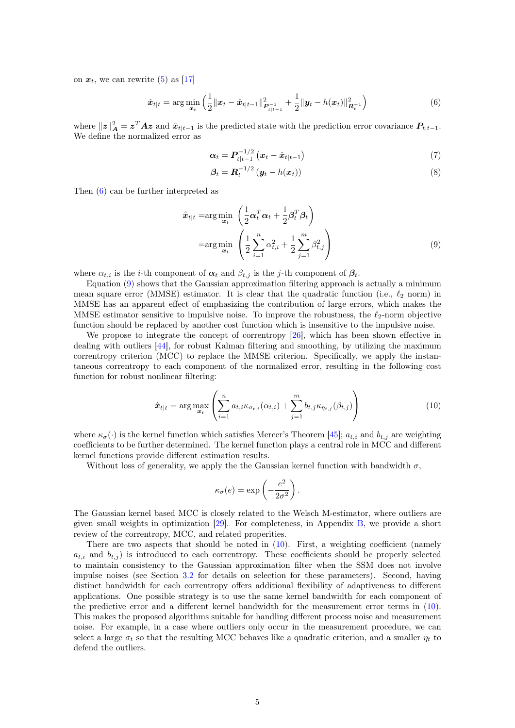on  $x_t$ , we can rewrite [\(5\)](#page-3-1) as [\[17\]](#page-18-9)

$$
\hat{x}_{t|t} = \arg\min_{\bm{x}_t} \left( \frac{1}{2} ||\bm{x}_t - \hat{\bm{x}}_{t|t-1}||_{\bm{P}_{t|t-1}^{-1}}^2 + \frac{1}{2} ||\bm{y}_t - h(\bm{x}_t)||_{\bm{R}_t^{-1}}^2 \right) \tag{6}
$$

where  $||z||_A^2 = z^T A z$  and  $\hat{x}_{t|t-1}$  is the predicted state with the prediction error covariance  $P_{t|t-1}$ . We define the normalized error as

<span id="page-4-4"></span><span id="page-4-3"></span><span id="page-4-0"></span>
$$
\boldsymbol{\alpha}_{t} = \boldsymbol{P}_{t|t-1}^{-1/2} \left( \boldsymbol{x}_{t} - \hat{\boldsymbol{x}}_{t|t-1} \right) \tag{7}
$$

<span id="page-4-1"></span>
$$
\beta_t = \boldsymbol{R}_t^{-1/2} \left( \boldsymbol{y}_t - h(\boldsymbol{x}_t) \right) \tag{8}
$$

Then [\(6\)](#page-4-0) can be further interpreted as

$$
\hat{x}_{t|t} = \arg\min_{\mathbf{x}_t} \left( \frac{1}{2} \alpha_t^T \alpha_t + \frac{1}{2} \beta_t^T \beta_t \right)
$$

$$
= \arg\min_{\mathbf{x}_t} \left( \frac{1}{2} \sum_{i=1}^n \alpha_{t,i}^2 + \frac{1}{2} \sum_{j=1}^m \beta_{t,j}^2 \right)
$$
(9)

where  $\alpha_{t,i}$  is the *i*-th component of  $\alpha_t$  and  $\beta_{t,i}$  is the *j*-th component of  $\beta_t$ .

Equation [\(9\)](#page-4-1) shows that the Gaussian approximation filtering approach is actually a minimum mean square error (MMSE) estimator. It is clear that the quadratic function (i.e.,  $\ell_2$  norm) in MMSE has an apparent effect of emphasizing the contribution of large errors, which makes the MMSE estimator sensitive to impulsive noise. To improve the robustness, the  $\ell_2$ -norm objective function should be replaced by another cost function which is insensitive to the impulsive noise.

We propose to integrate the concept of correntropy [\[26\]](#page-18-18), which has been shown effective in dealing with outliers [\[44\]](#page-19-17), for robust Kalman filtering and smoothing, by utilizing the maximum correntropy criterion (MCC) to replace the MMSE criterion. Specifically, we apply the instantaneous correntropy to each component of the normalized error, resulting in the following cost function for robust nonlinear filtering:

$$
\hat{\boldsymbol{x}}_{t|t} = \arg \max_{\boldsymbol{x}_t} \left( \sum_{i=1}^n a_{t,i} \kappa_{\sigma_{t,i}} (\alpha_{t,i}) + \sum_{j=1}^m b_{t,j} \kappa_{\eta_{t,j}} (\beta_{t,j}) \right)
$$
(10)

where  $\kappa_{\sigma}(\cdot)$  is the kernel function which satisfies Mercer's Theorem [\[45\]](#page-20-0);  $a_{t,i}$  and  $b_{t,j}$  are weighting coefficients to be further determined. The kernel function plays a central role in MCC and different kernel functions provide different estimation results.

Without loss of generality, we apply the the Gaussian kernel function with bandwidth  $\sigma$ ,

<span id="page-4-2"></span>
$$
\kappa_{\sigma}(e) = \exp\left(-\frac{e^2}{2\sigma^2}\right).
$$

The Gaussian kernel based MCC is closely related to the Welsch M-estimator, where outliers are given small weights in optimization [\[29\]](#page-19-2). For completeness, in Appendix [B,](#page-15-0) we provide a short review of the correntropy, MCC, and related properities.

There are two aspects that should be noted in [\(10\)](#page-4-2). First, a weighting coefficient (namely  $a_{t,i}$  and  $b_{t,i}$  is introduced to each correntropy. These coefficients should be properly selected to maintain consistency to the Gaussian approximation filter when the SSM does not involve impulse noises (see Section [3.2](#page-5-0) for details on selection for these parameters). Second, having distinct bandwidth for each correntropy offers additional flexibility of adaptiveness to different applications. One possible strategy is to use the same kernel bandwidth for each component of the predictive error and a different kernel bandwidth for the measurement error terms in [\(10\)](#page-4-2). This makes the proposed algorithms suitable for handling different process noise and measurement noise. For example, in a case where outliers only occur in the measurement procedure, we can select a large  $\sigma_t$  so that the resulting MCC behaves like a quadratic criterion, and a smaller  $\eta_t$  to defend the outliers.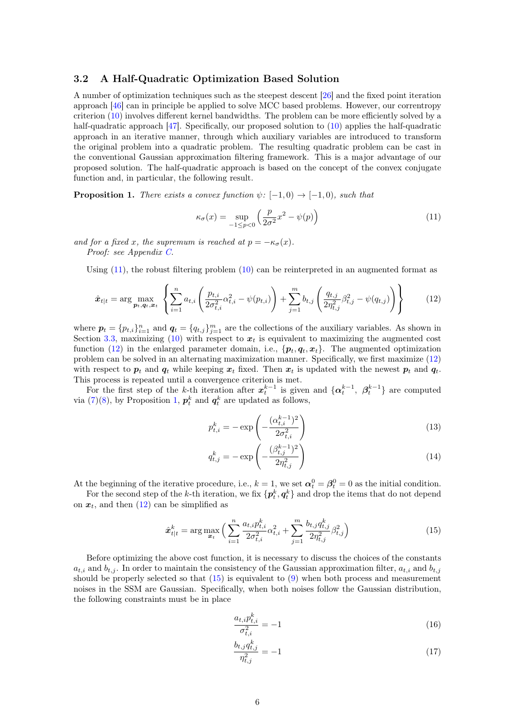#### <span id="page-5-0"></span>3.2 A Half-Quadratic Optimization Based Solution

A number of optimization techniques such as the steepest descent [\[26\]](#page-18-18) and the fixed point iteration approach [\[46\]](#page-20-1) can in principle be applied to solve MCC based problems. However, our correntropy criterion [\(10\)](#page-4-2) involves different kernel bandwidths. The problem can be more efficiently solved by a half-quadratic approach [\[47\]](#page-20-2). Specifically, our proposed solution to [\(10\)](#page-4-2) applies the half-quadratic approach in an iterative manner, through which auxiliary variables are introduced to transform the original problem into a quadratic problem. The resulting quadratic problem can be cast in the conventional Gaussian approximation filtering framework. This is a major advantage of our proposed solution. The half-quadratic approach is based on the concept of the convex conjugate function and, in particular, the following result.

<span id="page-5-3"></span>**Proposition 1.** There exists a convex function  $\psi$ : [−1, 0]  $\rightarrow$  [−1, 0], such that

<span id="page-5-2"></span><span id="page-5-1"></span>
$$
\kappa_{\sigma}(x) = \sup_{-1 \le p < 0} \left( \frac{p}{2\sigma^2} x^2 - \psi(p) \right) \tag{11}
$$

and for a fixed x, the supremum is reached at  $p = -\kappa_{\sigma}(x)$ . Proof: see Appendix [C.](#page-16-0)

Using  $(11)$ , the robust filtering problem  $(10)$  can be reinterpreted in an augmented format as

$$
\hat{\boldsymbol{x}}_{t|t} = \arg \max_{\boldsymbol{p}_t, \boldsymbol{q}_t, \boldsymbol{x}_t} \left\{ \sum_{i=1}^n a_{t,i} \left( \frac{p_{t,i}}{2\sigma_{t,i}^2} \alpha_{t,i}^2 - \psi(p_{t,i}) \right) + \sum_{j=1}^m b_{t,j} \left( \frac{q_{t,j}}{2\eta_{t,j}^2} \beta_{t,j}^2 - \psi(q_{t,j}) \right) \right\} \tag{12}
$$

where  $p_t = \{p_{t,i}\}_{i=1}^n$  and  $q_t = \{q_{t,j}\}_{j=1}^m$  are the collections of the auxiliary variables. As shown in Section [3.3,](#page-6-0) maximizing [\(10\)](#page-4-2) with respect to  $x_t$  is equivalent to maximizing the augmented cost function [\(12\)](#page-5-2) in the enlarged parameter domain, i.e.,  $\{p_t, q_t, x_t\}$ . The augmented optimization problem can be solved in an alternating maximization manner. Specifically, we first maximize [\(12\)](#page-5-2) with respect to  $p_t$  and  $q_t$  while keeping  $x_t$  fixed. Then  $x_t$  is updated with the newest  $p_t$  and  $q_t$ . This process is repeated until a convergence criterion is met.

For the first step of the k-th iteration after  $x_t^{k-1}$  is given and  $\{\alpha_t^{k-1}, \beta_t^{k-1}\}\$  are computed via [\(7\)](#page-4-3)[\(8\)](#page-4-4), by Proposition [1,](#page-5-3)  $p_t^k$  and  $q_t^k$  are updated as follows,

<span id="page-5-5"></span>
$$
p_{t,i}^{k} = -\exp\left(-\frac{(\alpha_{t,i}^{k-1})^2}{2\sigma_{t,i}^2}\right)
$$
\n(13)

<span id="page-5-6"></span>
$$
q_{t,j}^k = -\exp\left(-\frac{(\beta_{t,j}^{k-1})^2}{2\eta_{t,j}^2}\right) \tag{14}
$$

At the beginning of the iterative procedure, i.e.,  $k = 1$ , we set  $\alpha_t^0 = \beta_t^0 = 0$  as the initial condition.

For the second step of the k-th iteration, we fix  $\{p_t^k, q_t^k\}$  and drop the items that do not depend on  $x_t$ , and then  $(12)$  can be simplified as

$$
\hat{\boldsymbol{x}}_{t|t}^k = \arg \max_{\boldsymbol{x}_t} \Big( \sum_{i=1}^n \frac{a_{t,i} p_{t,i}^k}{2 \sigma_{t,i}^2} \alpha_{t,i}^2 + \sum_{j=1}^m \frac{b_{t,j} q_{t,j}^k}{2 \eta_{t,j}^2} \beta_{t,j}^2 \Big) \tag{15}
$$

Before optimizing the above cost function, it is necessary to discuss the choices of the constants  $a_{t,i}$  and  $b_{t,j}$ . In order to maintain the consistency of the Gaussian approximation filter,  $a_{t,i}$  and  $b_{t,j}$ should be properly selected so that  $(15)$  is equivalent to  $(9)$  when both process and measurement noises in the SSM are Gaussian. Specifically, when both noises follow the Gaussian distribution, the following constraints must be in place

<span id="page-5-4"></span>
$$
\frac{a_{t,i}p_{t,i}^k}{\sigma_{t,i}^2} = -1\tag{16}
$$

$$
\frac{b_{t,j}q_{t,j}^k}{\eta_{t,j}^2} = -1\tag{17}
$$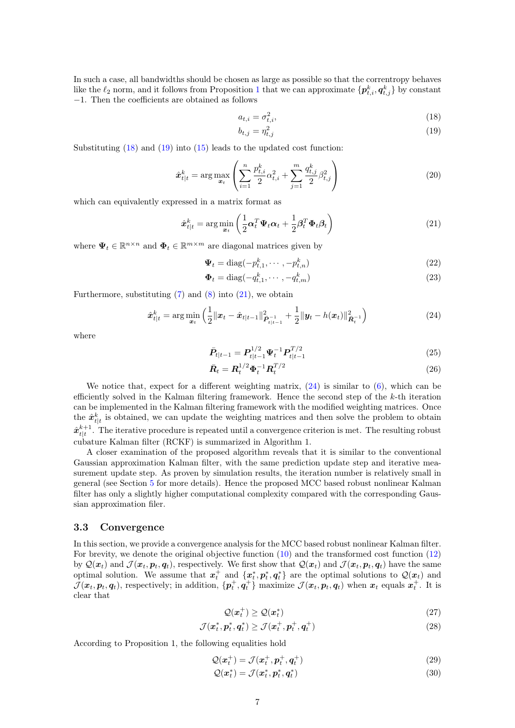In such a case, all bandwidths should be chosen as large as possible so that the correntropy behaves like the  $\ell_2$  norm, and it follows from Proposition [1](#page-5-3) that we can approximate  $\{p_{t,i}^k, q_{t,j}^k\}$  by constant −1. Then the coefficients are obtained as follows

<span id="page-6-1"></span>
$$
a_{t,i} = \sigma_{t,i}^2,\tag{18}
$$

<span id="page-6-3"></span><span id="page-6-2"></span>
$$
b_{t,j} = \eta_{t,j}^2 \tag{19}
$$

Substituting  $(18)$  and  $(19)$  into  $(15)$  leads to the updated cost function:

$$
\hat{\boldsymbol{x}}_{t|t}^{k} = \arg \max_{\boldsymbol{x}_t} \left( \sum_{i=1}^{n} \frac{p_{t,i}^{k}}{2} \alpha_{t,i}^{2} + \sum_{j=1}^{m} \frac{q_{t,j}^{k}}{2} \beta_{t,j}^{2} \right)
$$
(20)

which can equivalently expressed in a matrix format as

$$
\hat{\boldsymbol{x}}_{t|t}^k = \arg\min_{\boldsymbol{x}_t} \left( \frac{1}{2} \boldsymbol{\alpha}_t^T \boldsymbol{\Psi}_t \boldsymbol{\alpha}_t + \frac{1}{2} \boldsymbol{\beta}_t^T \boldsymbol{\Phi}_t \boldsymbol{\beta}_t \right)
$$
(21)

where  $\Psi_t \in \mathbb{R}^{n \times n}$  and  $\Phi_t \in \mathbb{R}^{m \times m}$  are diagonal matrices given by

<span id="page-6-7"></span>
$$
\Psi_t = \text{diag}(-p_{t,1}^k, \cdots, -p_{t,n}^k) \tag{22}
$$

<span id="page-6-8"></span>
$$
\Phi_t = \text{diag}(-q_{t,1}^k, \cdots, -q_{t,m}^k) \tag{23}
$$

Furthermore, substituting  $(7)$  and  $(8)$  into  $(21)$ , we obtain

$$
\hat{\boldsymbol{x}}_{t|t}^{k} = \arg\min_{\boldsymbol{x}_t} \left( \frac{1}{2} ||\boldsymbol{x}_t - \hat{\boldsymbol{x}}_{t|t-1}||_{\boldsymbol{P}_{t|t-1}}^2 + \frac{1}{2} ||\boldsymbol{y}_t - h(\boldsymbol{x}_t)||_{\boldsymbol{R}_t^{-1}}^2 \right)
$$
(24)

where

<span id="page-6-4"></span>
$$
\bar{P}_{t|t-1} = P_{t|t-1}^{1/2} \Psi_t^{-1} P_{t|t-1}^{T/2} \tag{25}
$$

<span id="page-6-6"></span><span id="page-6-5"></span>
$$
\bar{\boldsymbol{R}}_t = \boldsymbol{R}_t^{1/2} \boldsymbol{\Phi}_t^{-1} \boldsymbol{R}_t^{T/2} \tag{26}
$$

We notice that, expect for a different weighting matrix,  $(24)$  is similar to  $(6)$ , which can be efficiently solved in the Kalman filtering framework. Hence the second step of the  $k$ -th iteration can be implemented in the Kalman filtering framework with the modified weighting matrices. Once the  $\hat{x}_{t|t}^k$  is obtained, we can update the weighting matrices and then solve the problem to obtain  $\hat{\bm{x}}_{t|t}^{k+1}$ . The iterative procedure is repeated until a convergence criterion is met. The resulting robust cubature Kalman filter (RCKF) is summarized in Algorithm 1.

A closer examination of the proposed algorithm reveals that it is similar to the conventional Gaussian approximation Kalman filter, with the same prediction update step and iterative measurement update step. As proven by simulation results, the iteration number is relatively small in general (see Section [5](#page-9-0) for more details). Hence the proposed MCC based robust nonlinear Kalman filter has only a slightly higher computational complexity compared with the corresponding Gaussian approximation filer.

#### <span id="page-6-0"></span>3.3 Convergence

In this section, we provide a convergence analysis for the MCC based robust nonlinear Kalman filter. For brevity, we denote the original objective function [\(10\)](#page-4-2) and the transformed cost function [\(12\)](#page-5-2) by  $\mathcal{Q}(\boldsymbol{x}_t)$  and  $\mathcal{J}(\boldsymbol{x}_t, \boldsymbol{p}_t, \boldsymbol{q}_t)$ , respectively. We first show that  $\mathcal{Q}(\boldsymbol{x}_t)$  and  $\mathcal{J}(\boldsymbol{x}_t, \boldsymbol{p}_t, \boldsymbol{q}_t)$  have the same optimal solution. We assume that  $x_t^+$  and  $\{x_t^*, p_t^*, q_t^*\}$  are the optimal solutions to  $\mathcal{Q}(x_t)$  and  $\mathcal{J}(\boldsymbol{x}_t, \boldsymbol{p}_t, \boldsymbol{q}_t)$ , respectively; in addition,  $\{\boldsymbol{p}_t^+, \boldsymbol{q}_t^+\}$  maximize  $\mathcal{J}(\boldsymbol{x}_t, \boldsymbol{p}_t, \boldsymbol{q}_t)$  when  $\boldsymbol{x}_t$  equals  $\boldsymbol{x}_t^+$ . It is clear that

<span id="page-6-9"></span>
$$
\mathcal{Q}(\boldsymbol{x}_t^+) \ge \mathcal{Q}(\boldsymbol{x}_t^*) \tag{27}
$$

$$
\mathcal{J}(\boldsymbol{x}_t^*, \boldsymbol{p}_t^*, \boldsymbol{q}_t^*) \ge \mathcal{J}(\boldsymbol{x}_t^+, \boldsymbol{p}_t^+, \boldsymbol{q}_t^+) \tag{28}
$$

According to Proposition 1, the following equalities hold

 $\mathcal{Q}(\boldsymbol{x}_t^+) = \mathcal{J}(\boldsymbol{x}_t^+, \boldsymbol{p}_t^+, \boldsymbol{q}_t^+$ )  $(29)$ 

<span id="page-6-10"></span>
$$
\mathcal{Q}(\boldsymbol{x}_t^*) = \mathcal{J}(\boldsymbol{x}_t^*, \boldsymbol{p}_t^*, \boldsymbol{q}_t^*)
$$
\n(30)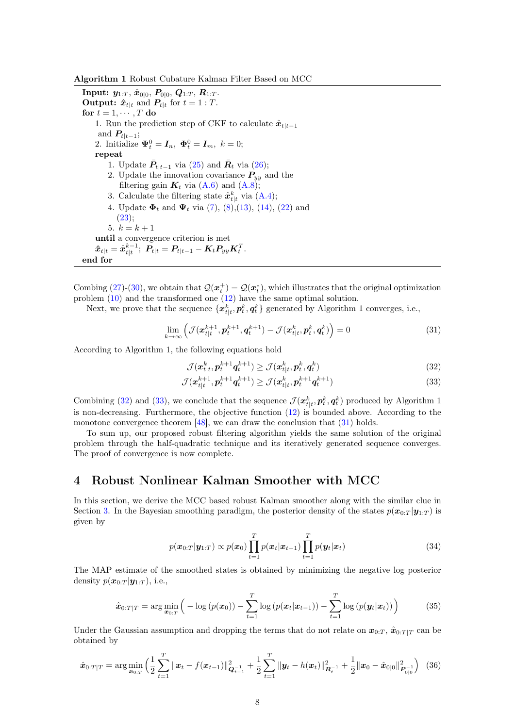Algorithm 1 Robust Cubature Kalman Filter Based on MCC

Input:  $y_{1:T}$ ,  $\hat{x}_{0|0}$ ,  $P_{0|0}$ ,  $Q_{1:T}$ ,  $R_{1:T}$ . **Output:**  $\hat{x}_{t|t}$  and  $P_{t|t}$  for  $t = 1 : T$ . for  $t = 1, \cdots, T$  do 1. Run the prediction step of CKF to calculate  $\hat{x}_{t|t-1}$ and  $P_{t|t-1}$ ; 2. Initialize  $\Psi_t^0 = \mathbf{I}_n, \ \mathbf{\Phi}_t^0 = \mathbf{I}_m, \ k = 0;$ repeat 1. Update  $\bar{P}_{t|t-1}$  via [\(25\)](#page-6-5) and  $\bar{R}_t$  via [\(26\)](#page-6-6); 2. Update the innovation covariance  $P_{yy}$  and the filtering gain  $K_t$  via [\(A.6\)](#page-15-1) and [\(A.8\)](#page-15-2); 3. Calculate the filtering state  $\hat{\boldsymbol{x}}_{t|t}^k$  via [\(A.4\)](#page-15-3); 4. Update  $\Phi_t$  and  $\Psi_t$  via [\(7\)](#page-4-3), [\(8\)](#page-4-4), [\(13\)](#page-5-5), [\(14\)](#page-5-6), [\(22\)](#page-6-7) and  $(23)$ : 5.  $k = k + 1$ until a convergence criterion is met  $\hat{{\bm{x}}}_{t|t} = \hat{{\bm{x}}}_{t|t}^{k-1}; \; \bm{P}_{t|t} = \bm{P}_{t|t-1} - \bm{K}_t \bm{P}_{yy} \bm{K}_t^T.$ end for

Combing [\(27\)](#page-6-9)-[\(30\)](#page-6-10), we obtain that  $\mathcal{Q}(x_t^+) = \mathcal{Q}(x_t^*)$ , which illustrates that the original optimization problem [\(10\)](#page-4-2) and the transformed one [\(12\)](#page-5-2) have the same optimal solution.

Next, we prove that the sequence  $\{x_{t|t}^k, p_t^k, q_t^k\}$  generated by Algorithm 1 converges, i.e.,

$$
\lim_{k \to \infty} \left( \mathcal{J}(\boldsymbol{x}_{t|t}^{k+1}, \boldsymbol{p}_t^{k+1}, \boldsymbol{q}_t^{k+1}) - \mathcal{J}(\boldsymbol{x}_{t|t}^k, \boldsymbol{p}_t^k, \boldsymbol{q}_t^k) \right) = 0 \tag{31}
$$

According to Algorithm 1, the following equations hold

<span id="page-7-3"></span><span id="page-7-2"></span><span id="page-7-1"></span>
$$
\mathcal{J}(\boldsymbol{x}_{t|t}^k, \boldsymbol{p}_t^{k+1} \boldsymbol{q}_t^{k+1}) \ge \mathcal{J}(\boldsymbol{x}_{t|t}^k, \boldsymbol{p}_t^k, \boldsymbol{q}_t^k)
$$
\n(32)

$$
\mathcal{J}(\boldsymbol{x}_{t|t}^{k+1}, \boldsymbol{p}_t^{k+1} \boldsymbol{q}_t^{k+1}) \ge \mathcal{J}(\boldsymbol{x}_{t|t}^k, \boldsymbol{p}_t^{k+1} \boldsymbol{q}_t^{k+1})
$$
\n(33)

Combining [\(32\)](#page-7-1) and [\(33\)](#page-7-2), we conclude that the sequence  $\mathcal{J}(\mathbf{x}_{t|t}^k, \mathbf{p}_t^k, \mathbf{q}_t^k)$  produced by Algorithm 1 is non-decreasing. Furthermore, the objective function [\(12\)](#page-5-2) is bounded above. According to the monotone convergence theorem [\[48\]](#page-20-3), we can draw the conclusion that [\(31\)](#page-7-3) holds.

To sum up, our proposed robust filtering algorithm yields the same solution of the original problem through the half-quadratic technique and its iteratively generated sequence converges. The proof of convergence is now complete.

### <span id="page-7-0"></span>4 Robust Nonlinear Kalman Smoother with MCC

In this section, we derive the MCC based robust Kalman smoother along with the similar clue in Section [3.](#page-3-0) In the Bayesian smoothing paradigm, the posterior density of the states  $p(\mathbf{x}_{0:T} | \mathbf{y}_{1:T})$  is given by

<span id="page-7-4"></span>
$$
p(\boldsymbol{x}_{0:T}|\boldsymbol{y}_{1:T}) \propto p(\boldsymbol{x}_0) \prod_{t=1}^T p(\boldsymbol{x}_t|\boldsymbol{x}_{t-1}) \prod_{t=1}^T p(\boldsymbol{y}_t|\boldsymbol{x}_t)
$$
\n(34)

The MAP estimate of the smoothed states is obtained by minimizing the negative log posterior density  $p(\boldsymbol{x}_{0:T} | \boldsymbol{y}_{1:T}),$  i.e.,

$$
\hat{\boldsymbol{x}}_{0:T|T} = \arg\min_{\boldsymbol{x}_{0:T}} \Big( -\log\left(p(\boldsymbol{x}_0)\right) - \sum_{t=1}^T \log\left(p(\boldsymbol{x}_t|\boldsymbol{x}_{t-1})\right) - \sum_{t=1}^T \log\left(p(\boldsymbol{y}_t|\boldsymbol{x}_t)\right) \Big) \tag{35}
$$

Under the Gaussian assumption and dropping the terms that do not relate on  $x_{0:T}$ ,  $\hat{x}_{0:T|T}$  can be obtained by

$$
\hat{\boldsymbol{x}}_{0:T|T} = \arg\min_{\boldsymbol{x}_{0:T}} \left( \frac{1}{2} \sum_{t=1}^T \|\boldsymbol{x}_t - f(\boldsymbol{x}_{t-1})\|_{\boldsymbol{Q}_{t-1}^{-1}}^2 + \frac{1}{2} \sum_{t=1}^T \|\boldsymbol{y}_t - h(\boldsymbol{x}_t)\|_{\boldsymbol{R}_t^{-1}}^2 + \frac{1}{2} \|\boldsymbol{x}_0 - \hat{\boldsymbol{x}}_{0|0}\|_{\boldsymbol{P}_{0|0}^{-1}}^2 \right) (36)
$$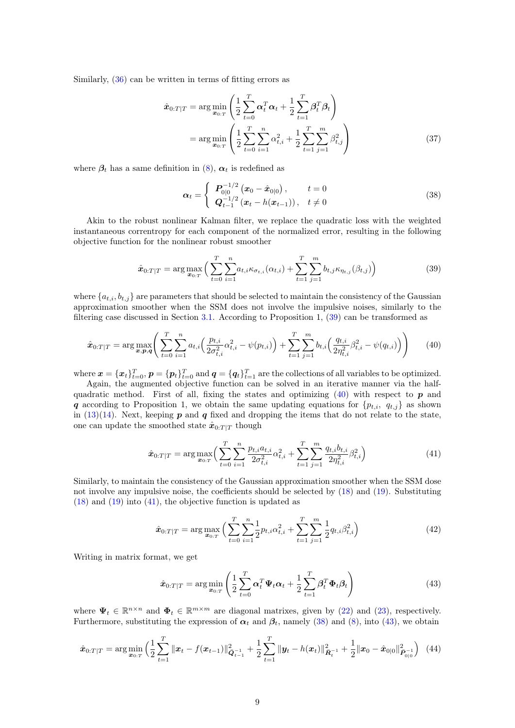Similarly, [\(36\)](#page-7-4) can be written in terms of fitting errors as

$$
\hat{\mathbf{x}}_{0:T|T} = \arg \min_{\mathbf{x}_{0:T}} \left( \frac{1}{2} \sum_{t=0}^{T} \alpha_t^T \alpha_t + \frac{1}{2} \sum_{t=1}^{T} \beta_t^T \beta_t \right)
$$
\n
$$
= \arg \min_{\mathbf{x}_{0:T}} \left( \frac{1}{2} \sum_{t=0}^{T} \sum_{i=1}^{n} \alpha_{t,i}^2 + \frac{1}{2} \sum_{t=1}^{T} \sum_{j=1}^{m} \beta_{t,j}^2 \right)
$$
\n(37)

where  $\beta_t$  has a same definition in [\(8\)](#page-4-4),  $\alpha_t$  is redefined as

<span id="page-8-3"></span><span id="page-8-1"></span><span id="page-8-0"></span>
$$
\boldsymbol{\alpha}_{t} = \begin{cases} P_{0|0}^{-1/2} \left( \boldsymbol{x}_{0} - \hat{\boldsymbol{x}}_{0|0} \right), & t = 0 \\ \boldsymbol{Q}_{t-1}^{-1/2} \left( \boldsymbol{x}_{t} - h(\boldsymbol{x}_{t-1}) \right), & t \neq 0 \end{cases}
$$
(38)

Akin to the robust nonlinear Kalman filter, we replace the quadratic loss with the weighted instantaneous correntropy for each component of the normalized error, resulting in the following objective function for the nonlinear robust smoother

$$
\hat{\boldsymbol{x}}_{0:T|T} = \arg \max_{\boldsymbol{x}_{0:T}} \left( \sum_{t=0}^{T} \sum_{i=1}^{n} a_{t,i} \kappa_{\sigma_{t,i}} (\alpha_{t,i}) + \sum_{t=1}^{T} \sum_{j=1}^{m} b_{t,j} \kappa_{\eta_{t,j}} (\beta_{t,j}) \right)
$$
(39)

where  ${a_{t,i}, b_{t,j}}$  are parameters that should be selected to maintain the consistency of the Gaussian approximation smoother when the SSM does not involve the impulsive noises, similarly to the filtering case discussed in Section [3.1.](#page-3-2) According to Proposition 1, [\(39\)](#page-8-0) can be transformed as

$$
\hat{\boldsymbol{x}}_{0:T|T} = \arg \max_{\boldsymbol{x}, \boldsymbol{p}, \boldsymbol{q}} \left( \sum_{t=0}^{T} \sum_{i=1}^{n} a_{t,i} \left( \frac{p_{t,i}}{2\sigma_{t,i}^2} \alpha_{t,i}^2 - \psi(p_{t,i}) \right) + \sum_{t=1}^{T} \sum_{j=1}^{m} b_{t,i} \left( \frac{q_{t,i}}{2\eta_{t,i}^2} \beta_{t,i}^2 - \psi(q_{t,i}) \right) \right)
$$
(40)

where  $\boldsymbol{x} = \{\boldsymbol{x}_t\}_{t=0}^T$ ,  $\boldsymbol{p} = \{\boldsymbol{p}_t\}_{t=0}^T$  and  $\boldsymbol{q} = \{\boldsymbol{q}_t\}_{t=1}^T$  are the collections of all variables to be optimized.

Again, the augmented objective function can be solved in an iterative manner via the halfquadratic method. First of all, fixing the states and optimizing  $(40)$  with respect to p and q according to Proposition 1, we obtain the same updating equations for  $\{p_{t,i}, q_{t,j}\}$  as shown in  $(13)(14)$  $(13)(14)$ . Next, keeping **p** and **q** fixed and dropping the items that do not relate to the state, one can update the smoothed state  $\hat{\boldsymbol{x}}_{0:T|T}$  though

<span id="page-8-2"></span>
$$
\hat{\boldsymbol{x}}_{0:T|T} = \arg \max_{\boldsymbol{x}_{0:T}} \left( \sum_{t=0}^{T} \sum_{i=1}^{n} \frac{p_{t,i} a_{t,i}}{2\sigma_{t,i}^2} \alpha_{t,i}^2 + \sum_{t=1}^{T} \sum_{j=1}^{m} \frac{q_{t,i} b_{t,i}}{2\eta_{t,i}^2} \beta_{t,i}^2 \right)
$$
(41)

Similarly, to maintain the consistency of the Gaussian approximation smoother when the SSM dose not involve any impulsive noise, the coefficients should be selected by [\(18\)](#page-6-1) and [\(19\)](#page-6-2). Substituting [\(18\)](#page-6-1) and [\(19\)](#page-6-2) into [\(41\)](#page-8-2), the objective function is updated as

$$
\hat{\boldsymbol{x}}_{0:T|T} = \arg \max_{\boldsymbol{x}_{0:T}} \left( \sum_{t=0}^{T} \sum_{i=1}^{n} \frac{1}{2} p_{t,i} \alpha_{t,i}^2 + \sum_{t=1}^{T} \sum_{j=1}^{m} \frac{1}{2} q_{t,i} \beta_{t,i}^2 \right)
$$
(42)

Writing in matrix format, we get

<span id="page-8-5"></span><span id="page-8-4"></span>
$$
\hat{\boldsymbol{x}}_{0:T|T} = \arg\min_{\boldsymbol{x}_{0:T}} \left( \frac{1}{2} \sum_{t=0}^{T} \boldsymbol{\alpha}_t^T \boldsymbol{\Psi}_t \boldsymbol{\alpha}_t + \frac{1}{2} \sum_{t=1}^{T} \boldsymbol{\beta}_t^T \boldsymbol{\Phi}_t \boldsymbol{\beta}_t \right)
$$
(43)

where  $\Psi_t \in \mathbb{R}^{n \times n}$  and  $\Phi_t \in \mathbb{R}^{m \times m}$  are diagonal matrixes, given by [\(22\)](#page-6-7) and [\(23\)](#page-6-8), respectively. Furthermore, substituting the expression of  $\alpha_t$  and  $\beta_t$ , namely [\(38\)](#page-8-3) and [\(8\)](#page-4-4), into [\(43\)](#page-8-4), we obtain

$$
\hat{\boldsymbol{x}}_{0:T|T} = \arg\min_{\boldsymbol{x}_{0:T}} \left( \frac{1}{2} \sum_{t=1}^{T} ||\boldsymbol{x}_t - f(\boldsymbol{x}_{t-1})||_{\bar{\boldsymbol{Q}}_{t-1}^{-1}}^2 + \frac{1}{2} \sum_{t=1}^{T} ||\boldsymbol{y}_t - h(\boldsymbol{x}_t)||_{\bar{\boldsymbol{R}}_t^{-1}}^2 + \frac{1}{2} ||\boldsymbol{x}_0 - \hat{\boldsymbol{x}}_{0|0}||_{\bar{\boldsymbol{P}}_{0|0}^{-1}}^2 \right) (44)
$$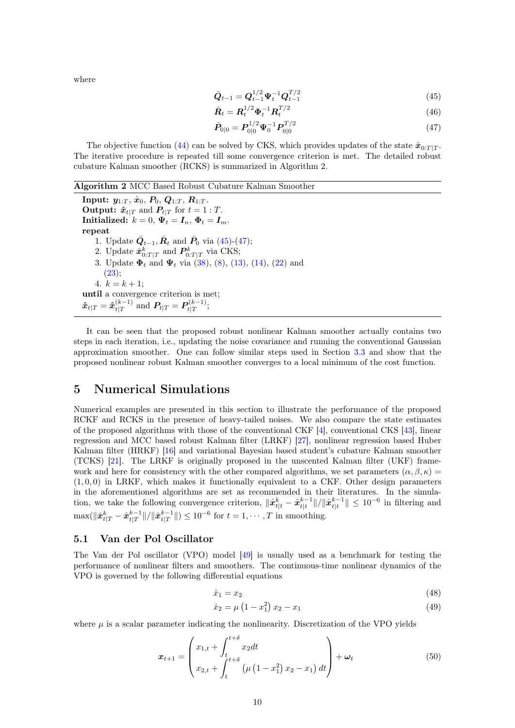where

<span id="page-9-1"></span>
$$
\bar{Q}_{t-1} = Q_{t-1}^{1/2} \Psi_t^{-1} Q_{t-1}^{T/2}
$$
\n(45)

$$
\bar{\boldsymbol{R}}_t = \boldsymbol{R}_t^{1/2} \boldsymbol{\Phi}_t^{-1} \boldsymbol{R}_t^{T/2} \tag{46}
$$

<span id="page-9-2"></span>
$$
\bar{P}_{0|0} = P_{0|0}^{1/2} \Psi_0^{-1} P_{0|0}^{T/2} \tag{47}
$$

The objective function [\(44\)](#page-8-5) can be solved by CKS, which provides updates of the state  $\hat{x}_0$ - $T|T$ . The iterative procedure is repeated till some convergence criterion is met. The detailed robust cubature Kalman smoother (RCKS) is summarized in Algorithm 2.

Algorithm 2 MCC Based Robust Cubature Kalman Smoother

Input:  $y_{1:T}$ ,  $\hat{x}_0$ ,  $P_0$ ,  $Q_{1:T}$ ,  $R_{1:T}$ . **Output:**  $\hat{x}_{t|T}$  and  $P_{t|T}$  for  $t = 1 : T$ . Initialized:  $k = 0$ ,  $\Psi_t = I_n$ ,  $\Phi_t = I_m$ repeat 1. Update  $\bar{Q}_{t-1}, \bar{R}_t$  and  $\bar{P}_0$  via [\(45\)](#page-9-1)-[\(47\)](#page-9-2); 2. Update  $\hat{\boldsymbol{x}}_{0:T|T}^{k}$  and  $\boldsymbol{P}_{0:T|T}^{k}$  via CKS; 3. Update  $\Phi_t$  and  $\Psi_t$  via [\(38\)](#page-8-3), [\(8\)](#page-4-4), [\(13\)](#page-5-5), [\(14\)](#page-5-6), [\(22\)](#page-6-7) and  $(23)$ ; 4.  $k = k + 1$ ; until a convergence criterion is met;  $\boldsymbol{\hat{x}}_{t|T} = \boldsymbol{\hat{x}}_{t|T}^{(k-1)}$  $\frac{(k-1)}{t|T}$  and  $\bm{P}_{t|T} = \bm{P}_{t|T}^{(k-1)}$  $t|T^{-1}$ ;

It can be seen that the proposed robust nonlinear Kalman smoother actually contains two steps in each iteration, i.e., updating the noise covariance and running the conventional Gaussian approximation smoother. One can follow similar steps used in Section [3.3](#page-6-0) and show that the proposed nonlinear robust Kalman smoother converges to a local minimum of the cost function.

# <span id="page-9-0"></span>5 Numerical Simulations

Numerical examples are presented in this section to illustrate the performance of the proposed RCKF and RCKS in the presence of heavy-tailed noises. We also compare the state estimates of the proposed algorithms with those of the conventional CKF [\[4\]](#page-17-3), conventional CKS [\[43\]](#page-19-16), linear regression and MCC based robust Kalman filter (LRKF) [\[27\]](#page-19-0), nonlinear regression based Huber Kalman filter (HRKF) [\[16\]](#page-18-8) and variational Bayesian based student's cubature Kalman smoother (TCKS) [\[21\]](#page-18-13). The LRKF is originally proposed in the unscented Kalman filter (UKF) framework and here for consistency with the other compared algorithms, we set parameters  $(\alpha, \beta, \kappa)$  =  $(1, 0, 0)$  in LRKF, which makes it functionally equivalent to a CKF. Other design parameters in the aforementioned algorithms are set as recommended in their literatures. In the simulation, we take the following convergence criterion,  $\|\hat{x}_{t|t}^k - \hat{x}_{t|t}^{k-1}\|/\|\hat{x}_{t|t}^{k-1}\| \leq 10^{-6}$  in filtering and  $\max(||\hat{x}_{t|T}^k - \hat{x}_{t|T}^{k-1}||/||\hat{x}_{t|T}^{k-1}||) \leq 10^{-6}$  for  $t = 1, \cdots, T$  in smoothing.

### 5.1 Van der Pol Oscillator

The Van der Pol oscillator (VPO) model [\[49\]](#page-20-4) is usually used as a benchmark for testing the performance of nonlinear filters and smoothers. The continuous-time nonlinear dynamics of the VPO is governed by the following differential equations

$$
\dot{x}_1 = x_2 \tag{48}
$$

<span id="page-9-3"></span>
$$
\dot{x}_2 = \mu \left( 1 - x_1^2 \right) x_2 - x_1 \tag{49}
$$

where  $\mu$  is a scalar parameter indicating the nonlinearity. Discretization of the VPO yields

$$
\boldsymbol{x}_{t+1} = \begin{pmatrix} x_{1,t} + \int_{t}^{t+\delta} x_2 dt \\ x_{2,t} + \int_{t}^{t+\delta} \left( \mu \left( 1 - x_1^2 \right) x_2 - x_1 \right) dt \end{pmatrix} + \boldsymbol{\omega}_t \tag{50}
$$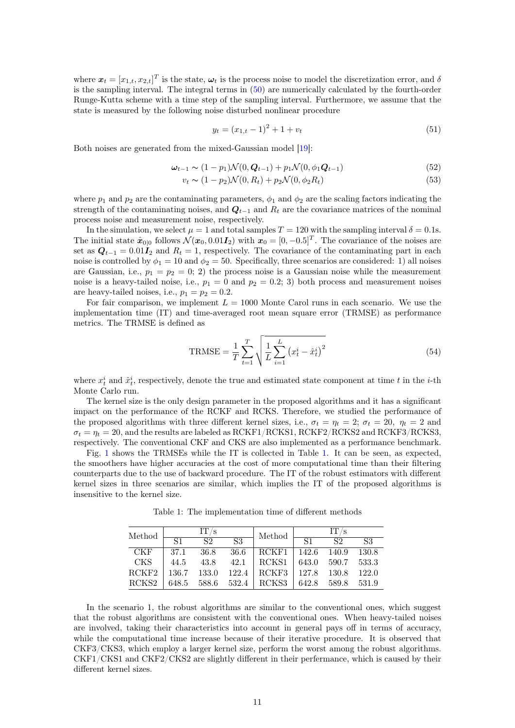where  $\boldsymbol{x}_t = [x_{1,t}, x_{2,t}]^T$  is the state,  $\boldsymbol{\omega}_t$  is the process noise to model the discretization error, and  $\delta$ is the sampling interval. The integral terms in [\(50\)](#page-9-3) are numerically calculated by the fourth-order Runge-Kutta scheme with a time step of the sampling interval. Furthermore, we assume that the state is measured by the following noise disturbed nonlinear procedure

$$
y_t = (x_{1,t} - 1)^2 + 1 + v_t \tag{51}
$$

Both noises are generated from the mixed-Gaussian model [\[19\]](#page-18-11):

$$
\omega_{t-1} \sim (1 - p_1) \mathcal{N}(0, \mathbf{Q}_{t-1}) + p_1 \mathcal{N}(0, \phi_1 \mathbf{Q}_{t-1})
$$
\n(52)

$$
v_t \sim (1 - p_2) \mathcal{N}(0, R_t) + p_2 \mathcal{N}(0, \phi_2 R_t)
$$
\n(53)

where  $p_1$  and  $p_2$  are the contaminating parameters,  $\phi_1$  and  $\phi_2$  are the scaling factors indicating the strength of the contaminating noises, and  $\mathbf{Q}_{t-1}$  and  $R_t$  are the covariance matrices of the nominal process noise and measurement noise, respectively.

In the simulation, we select  $\mu = 1$  and total samples  $T = 120$  with the sampling interval  $\delta = 0.1$ s. The initial state  $\hat{x}_{0|0}$  follows  $\mathcal{N}(x_0, 0.01I_2)$  with  $x_0 = [0, -0.5]^T$ . The covariance of the noises are set as  $Q_{t-1} = 0.01I_2$  and  $R_t = 1$ , respectively. The covariance of the contaminating part in each noise is controlled by  $\phi_1 = 10$  and  $\phi_2 = 50$ . Specifically, three scenarios are considered: 1) all noises are Gaussian, i.e.,  $p_1 = p_2 = 0$ ; 2) the process noise is a Gaussian noise while the measurement noise is a heavy-tailed noise, i.e.,  $p_1 = 0$  and  $p_2 = 0.2$ ; 3) both process and measurement noises are heavy-tailed noises, i.e.,  $p_1 = p_2 = 0.2$ .

For fair comparison, we implement  $L = 1000$  Monte Carol runs in each scenario. We use the implementation time (IT) and time-averaged root mean square error (TRMSE) as performance metrics. The TRMSE is defined as

<span id="page-10-1"></span>
$$
TRMSE = \frac{1}{T} \sum_{t=1}^{T} \sqrt{\frac{1}{L} \sum_{i=1}^{L} (x_t^i - \hat{x}_t^i)^2}
$$
(54)

where  $x_t^i$  and  $\hat{x}_t^i$ , respectively, denote the true and estimated state component at time t in the i-th Monte Carlo run.

The kernel size is the only design parameter in the proposed algorithms and it has a significant impact on the performance of the RCKF and RCKS. Therefore, we studied the performance of the proposed algorithms with three different kernel sizes, i.e.,  $\sigma_t = \eta_t = 2$ ;  $\sigma_t = 20$ ,  $\eta_t = 2$  and  $\sigma_t = \eta_t = 20$ , and the results are labeled as RCKF1/RCKS1, RCKF2/RCKS2 and RCKF3/RCKS3, respectively. The conventional CKF and CKS are also implemented as a performance benchmark.

<span id="page-10-0"></span>Fig. [1](#page-11-0) shows the TRMSEs while the IT is collected in Table [1.](#page-10-0) It can be seen, as expected, the smoothers have higher accuracies at the cost of more computational time than their filtering counterparts due to the use of backward procedure. The IT of the robust estimators with different kernel sizes in three scenarios are similar, which implies the IT of the proposed algorithms is insensitive to the kernel size.

Table 1: The implementation time of different methods

| Method            | IT/s  |       |                | Method | IT/s  |       |       |
|-------------------|-------|-------|----------------|--------|-------|-------|-------|
|                   |       | 82    | S <sub>3</sub> |        | S1    | 82    | S3    |
| <b>CKF</b>        | 37.1  | 36.8  | 36.6           | RCKF1  | 142.6 | 140.9 | 130.8 |
| <b>CKS</b>        | 44.5  | 43.8  | 42.1           | RCKS1  | 643.0 | 590.7 | 533.3 |
| RCKF <sub>2</sub> | 136.7 | 133.0 | 122.4          | RCKF3  | 127.8 | 130.8 | 122.0 |
| RCKS <sub>2</sub> | 648.5 | 588.6 | 532.4          | RCKS3  | 642.8 | 589.8 | 531.9 |

In the scenario 1, the robust algorithms are similar to the conventional ones, which suggest that the robust algorithms are consistent with the conventional ones. When heavy-tailed noises are involved, taking their characteristics into account in general pays off in terms of accuracy, while the computational time increase because of their iterative procedure. It is observed that CKF3/CKS3, which employ a larger kernel size, perform the worst among the robust algorithms. CKF1/CKS1 and CKF2/CKS2 are slightly different in their perfermance, which is caused by their different kernel sizes.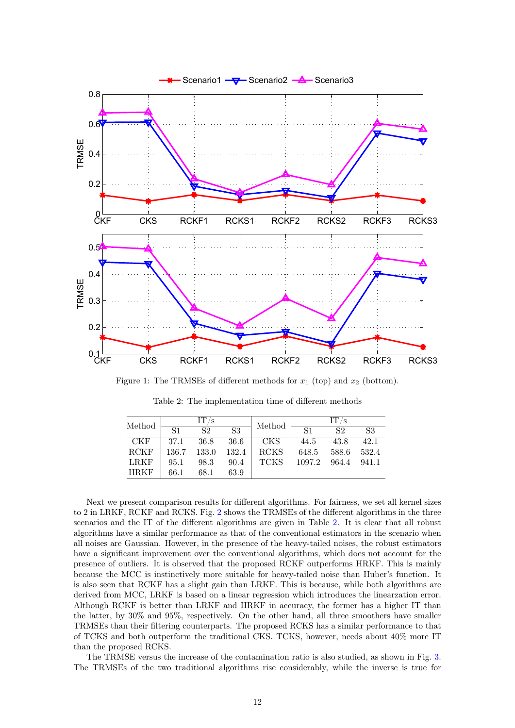<span id="page-11-0"></span>

<span id="page-11-1"></span>Figure 1: The TRMSEs of different methods for  $x_1$  (top) and  $x_2$  (bottom).

| Method      |                | IT/s  |                | Method      | IT/s           |                |       |
|-------------|----------------|-------|----------------|-------------|----------------|----------------|-------|
|             | S <sub>1</sub> | S2    | S <sub>3</sub> |             | S <sub>1</sub> | S <sub>2</sub> | S3    |
| <b>CKF</b>  | 37.1           | 36.8  | 36.6           | <b>CKS</b>  | 44.5           | 43.8           | 42.1  |
| <b>RCKF</b> | 136.7          | 133.0 | 132.4          | <b>RCKS</b> | 648.5          | 588.6          | 532.4 |
| LRKF        | 95.1           | 98.3  | 90.4           | <b>TCKS</b> | 1097.2         | 964.4          | 941.1 |
| <b>HRKF</b> | 66.1           | 68.1  | 63.9           |             |                |                |       |

Table 2: The implementation time of different methods

Next we present comparison results for different algorithms. For fairness, we set all kernel sizes to 2 in LRKF, RCKF and RCKS. Fig. [2](#page-12-0) shows the TRMSEs of the different algorithms in the three scenarios and the IT of the different algorithms are given in Table [2.](#page-11-1) It is clear that all robust algorithms have a similar performance as that of the conventional estimators in the scenario when all noises are Gaussian. However, in the presence of the heavy-tailed noises, the robust estimators have a significant improvement over the conventional algorithms, which does not account for the presence of outliers. It is observed that the proposed RCKF outperforms HRKF. This is mainly because the MCC is instinctively more suitable for heavy-tailed noise than Huber's function. It is also seen that RCKF has a slight gain than LRKF. This is because, while both algorithms are derived from MCC, LRKF is based on a linear regression which introduces the linearzation error. Although RCKF is better than LRKF and HRKF in accuracy, the former has a higher IT than the latter, by 30% and 95%, respectively. On the other hand, all three smoothers have smaller TRMSEs than their filtering counterparts. The proposed RCKS has a similar performance to that of TCKS and both outperform the traditional CKS. TCKS, however, needs about 40% more IT than the proposed RCKS.

The TRMSE versus the increase of the contamination ratio is also studied, as shown in Fig. [3.](#page-13-0) The TRMSEs of the two traditional algorithms rise considerably, while the inverse is true for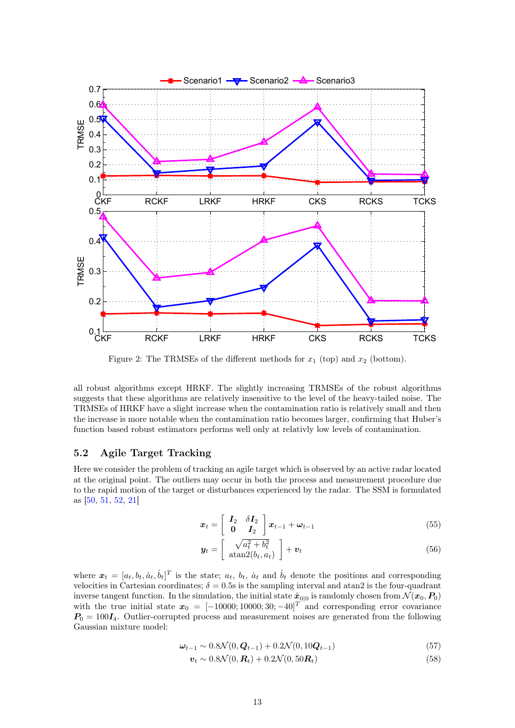<span id="page-12-0"></span>

Figure 2: The TRMSEs of the different methods for  $x_1$  (top) and  $x_2$  (bottom).

all robust algorithms except HRKF. The slightly increasing TRMSEs of the robust algorithms suggests that these algorithms are relatively insensitive to the level of the heavy-tailed noise. The TRMSEs of HRKF have a slight increase when the contamination ratio is relatively small and then the increase is more notable when the contamination ratio becomes larger, confirming that Huber's function based robust estimators performs well only at relativly low levels of contamination.

### 5.2 Agile Target Tracking

Here we consider the problem of tracking an agile target which is observed by an active radar located at the original point. The outliers may occur in both the process and measurement procedure due to the rapid motion of the target or disturbances experienced by the radar. The SSM is formulated as [\[50,](#page-20-5) [51,](#page-20-6) [52,](#page-20-7) [21\]](#page-18-13)

$$
\boldsymbol{x}_t = \begin{bmatrix} \boldsymbol{I}_2 & \delta \boldsymbol{I}_2 \\ \mathbf{0} & \boldsymbol{I}_2 \end{bmatrix} \boldsymbol{x}_{t-1} + \boldsymbol{\omega}_{t-1} \tag{55}
$$

$$
\mathbf{y}_t = \left[ \begin{array}{c} \sqrt{a_t^2 + b_t^2} \\ \mathrm{atan2}(b_t, a_t) \end{array} \right] + \mathbf{v}_t \tag{56}
$$

where  $\boldsymbol{x}_t = [a_t, b_t, \dot{a}_t, \dot{b}_t]^T$  is the state;  $a_t, b_t, \dot{a}_t$  and  $\dot{b}_t$  denote the positions and corresponding velocities in Cartesian coordinates;  $\delta = 0.5$  is the sampling interval and atan2 is the four-quadrant inverse tangent function. In the simulation, the initial state  $\hat{x}_{0|0}$  is randomly chosen from  $\mathcal{N}(x_0, \textbf{\textit{P}}_0)$ with the true initial state  $x_0 = [-10000; 10000; 30; -40]^T$  and corresponding error covariance  $P_0 = 100I_4$ . Outlier-corrupted process and measurement noises are generated from the following Gaussian mixture model:

$$
\omega_{t-1} \sim 0.8 \mathcal{N}(0, \mathbf{Q}_{t-1}) + 0.2 \mathcal{N}(0, 10 \mathbf{Q}_{t-1}) \tag{57}
$$

$$
\boldsymbol{v}_t \sim 0.8 \mathcal{N}(0, \boldsymbol{R}_t) + 0.2 \mathcal{N}(0, 50 \boldsymbol{R}_t)
$$
\n
$$
\tag{58}
$$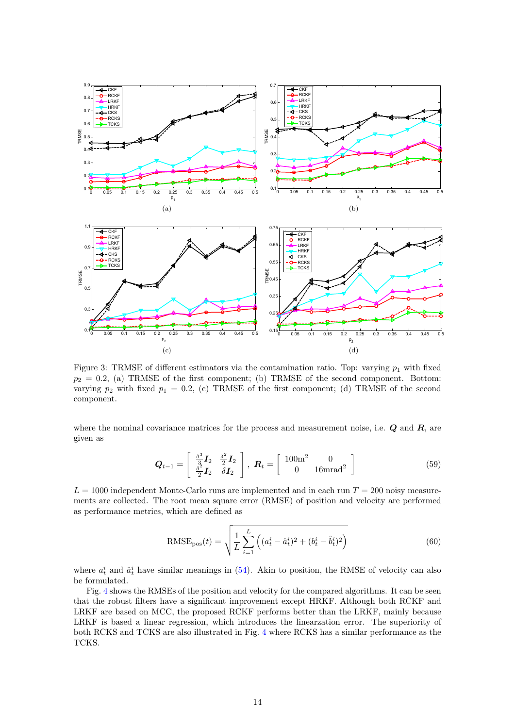<span id="page-13-0"></span>

Figure 3: TRMSE of different estimators via the contamination ratio. Top: varying  $p_1$  with fixed  $p_2 = 0.2$ , (a) TRMSE of the first component; (b) TRMSE of the second component. Bottom: varying  $p_2$  with fixed  $p_1 = 0.2$ , (c) TRMSE of the first component; (d) TRMSE of the second component.

where the nominal covariance matrices for the process and measurement noise, i.e.  $\bf{Q}$  and  $\bf{R}$ , are given as

$$
\mathbf{Q}_{t-1} = \begin{bmatrix} \frac{\delta^3}{3} \mathbf{I}_2 & \frac{\delta^2}{2} \mathbf{I}_2 \\ \frac{\delta^2}{2} \mathbf{I}_2 & \delta \mathbf{I}_2 \end{bmatrix}, \ \mathbf{R}_t = \begin{bmatrix} 100 \text{m}^2 & 0 \\ 0 & 16 \text{mrad}^2 \end{bmatrix}
$$
(59)

 $L = 1000$  independent Monte-Carlo runs are implemented and in each run  $T = 200$  noisy measurements are collected. The root mean square error (RMSE) of position and velocity are performed as performance metrics, which are defined as

RMSE<sub>pos</sub>
$$
(t) = \sqrt{\frac{1}{L} \sum_{i=1}^{L} \left( (a_t^i - \hat{a}_t^i)^2 + (b_t^i - \hat{b}_t^i)^2 \right)}
$$
 (60)

where  $a_t^i$  and  $\hat{a}_t^i$  have similar meanings in [\(54\)](#page-10-1). Akin to position, the RMSE of velocity can also be formulated.

Fig. [4](#page-14-2) shows the RMSEs of the position and velocity for the compared algorithms. It can be seen that the robust filters have a significant improvement except HRKF. Although both RCKF and LRKF are based on MCC, the proposed RCKF performs better than the LRKF, mainly because LRKF is based a linear regression, which introduces the linearzation error. The superiority of both RCKS and TCKS are also illustrated in Fig. [4](#page-14-2) where RCKS has a similar performance as the TCKS.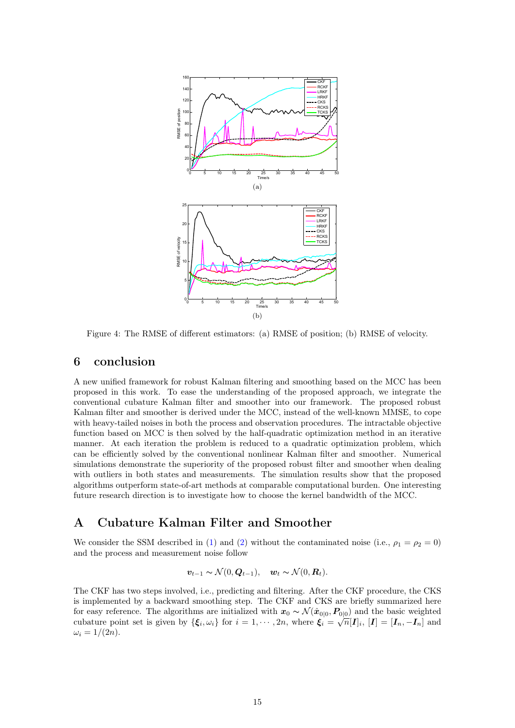<span id="page-14-2"></span>

Figure 4: The RMSE of different estimators: (a) RMSE of position; (b) RMSE of velocity.

### <span id="page-14-0"></span>6 conclusion

A new unified framework for robust Kalman filtering and smoothing based on the MCC has been proposed in this work. To ease the understanding of the proposed approach, we integrate the conventional cubature Kalman filter and smoother into our framework. The proposed robust Kalman filter and smoother is derived under the MCC, instead of the well-known MMSE, to cope with heavy-tailed noises in both the process and observation procedures. The intractable objective function based on MCC is then solved by the half-quadratic optimization method in an iterative manner. At each iteration the problem is reduced to a quadratic optimization problem, which can be efficiently solved by the conventional nonlinear Kalman filter and smoother. Numerical simulations demonstrate the superiority of the proposed robust filter and smoother when dealing with outliers in both states and measurements. The simulation results show that the proposed algorithms outperform state-of-art methods at comparable computational burden. One interesting future research direction is to investigate how to choose the kernel bandwidth of the MCC.

# <span id="page-14-1"></span>A Cubature Kalman Filter and Smoother

We consider the SSM described in [\(1\)](#page-3-3) and [\(2\)](#page-3-4) without the contaminated noise (i.e.,  $\rho_1 = \rho_2 = 0$ ) and the process and measurement noise follow

$$
\boldsymbol{v}_{t-1} \sim \mathcal{N}(0, \boldsymbol{Q}_{t-1}), \quad \boldsymbol{w}_t \sim \mathcal{N}(0, \boldsymbol{R}_t).
$$

The CKF has two steps involved, i.e., predicting and filtering. After the CKF procedure, the CKS is implemented by a backward smoothing step. The CKF and CKS are briefly summarized here for easy reference. The algorithms are initialized with  $x_0 \sim \mathcal{N}(\hat{x}_{0|0}, P_{0|0})$  and the basic weighted cubature point set is given by  $\{\xi_i, \omega_i\}$  for  $i = 1, \dots, 2n$ , where  $\xi_i = \sqrt{n}[\mathbf{I}]_i$ ,  $[\mathbf{I}] = [\mathbf{I}_n, -\mathbf{I}_n]$  and  $\omega_i = 1/(2n).$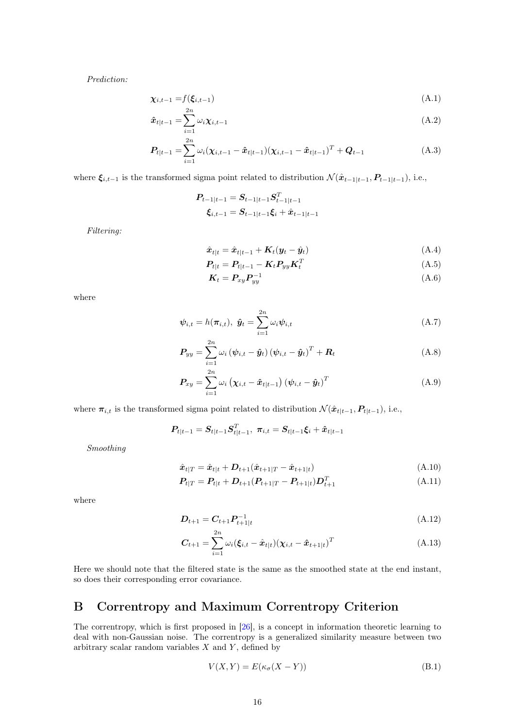Prediction:

$$
\chi_{i,t-1} = f(\xi_{i,t-1}) \tag{A.1}
$$

$$
\hat{\boldsymbol{x}}_{t|t-1} = \sum_{i=1}^{2n} \omega_i \chi_{i,t-1} \tag{A.2}
$$

$$
\boldsymbol{P}_{t|t-1} = \sum_{i=1}^{2n} \omega_i (\boldsymbol{\chi}_{i,t-1} - \hat{\boldsymbol{x}}_{t|t-1}) (\boldsymbol{\chi}_{i,t-1} - \hat{\boldsymbol{x}}_{t|t-1})^T + \boldsymbol{Q}_{t-1}
$$
(A.3)

where  $\xi_{i,t-1}$  is the transformed sigma point related to distribution  $\mathcal{N}(\hat{x}_{t-1|t-1}, P_{t-1|t-1}),$  i.e.,

$$
\begin{aligned} \boldsymbol{P}_{t-1|t-1} &= \boldsymbol{S}_{t-1|t-1}\boldsymbol{S}_{t-1|t-1}^T \\ & \boldsymbol{\xi}_{i,t-1} &= \boldsymbol{S}_{t-1|t-1}\boldsymbol{\xi}_i + \hat{\boldsymbol{x}}_{t-1|t-1} \end{aligned}
$$

Filtering:

$$
\hat{\boldsymbol{x}}_{t|t} = \hat{\boldsymbol{x}}_{t|t-1} + \boldsymbol{K}_t(\boldsymbol{y}_t - \hat{\boldsymbol{y}}_t) \tag{A.4}
$$

$$
\boldsymbol{P}_{t|t} = \boldsymbol{P}_{t|t-1} - \boldsymbol{K}_t \boldsymbol{P}_{yy} \boldsymbol{K}_t^T
$$
\n(A.5)

<span id="page-15-3"></span><span id="page-15-2"></span><span id="page-15-1"></span>
$$
\boldsymbol{K}_t = \boldsymbol{P}_{xy} \boldsymbol{P}_{yy}^{-1} \tag{A.6}
$$

where

$$
\psi_{i,t} = h(\boldsymbol{\pi}_{i,t}), \ \hat{\boldsymbol{y}}_t = \sum_{i=1}^{2n} \omega_i \psi_{i,t} \tag{A.7}
$$

$$
\boldsymbol{P}_{yy} = \sum_{i=1}^{2n} \omega_i \left( \boldsymbol{\psi}_{i,t} - \hat{\boldsymbol{y}}_t \right) \left( \boldsymbol{\psi}_{i,t} - \hat{\boldsymbol{y}}_t \right)^T + \boldsymbol{R}_t \tag{A.8}
$$

$$
\boldsymbol{P}_{xy} = \sum_{i=1}^{2n} \omega_i \left( \boldsymbol{\chi}_{i,t} - \hat{\boldsymbol{x}}_{t|t-1} \right) \left( \boldsymbol{\psi}_{i,t} - \hat{\boldsymbol{y}}_t \right)^T \tag{A.9}
$$

where  $\pi_{i,t}$  is the transformed sigma point related to distribution  $\mathcal{N}(\hat{x}_{t|t-1}, P_{t|t-1}),$  i.e.,

$$
\bm{P}_{t|t-1} = \bm{S}_{t|t-1}\bm{S}_{t|t-1}^T, \ \bm{\pi}_{i,t} = \bm{S}_{t|t-1}\bm{\xi}_i + \hat{\bm{x}}_{t|t-1}
$$

Smoothing

$$
\hat{x}_{t|T} = \hat{x}_{t|t} + D_{t+1}(\hat{x}_{t+1|T} - \hat{x}_{t+1|t})
$$
\n(A.10)

$$
P_{t|T} = P_{t|t} + D_{t+1}(P_{t+1|T} - P_{t+1|t})D_{t+1}^T
$$
\n(A.11)

where

$$
D_{t+1} = C_{t+1} P_{t+1|t}^{-1}
$$
\n(A.12)

$$
C_{t+1} = \sum_{i=1}^{2n} \omega_i (\xi_{i,t} - \hat{x}_{t|t}) (\chi_{i,t} - \hat{x}_{t+1|t})^T
$$
\n(A.13)

Here we should note that the filtered state is the same as the smoothed state at the end instant, so does their corresponding error covariance.

# <span id="page-15-0"></span>B Correntropy and Maximum Correntropy Criterion

The correntropy, which is first proposed in [\[26\]](#page-18-18), is a concept in information theoretic learning to deal with non-Gaussian noise. The correntropy is a generalized similarity measure between two arbitrary scalar random variables  $X$  and  $Y$ , defined by

$$
V(X,Y) = E(\kappa_{\sigma}(X - Y))
$$
\n(B.1)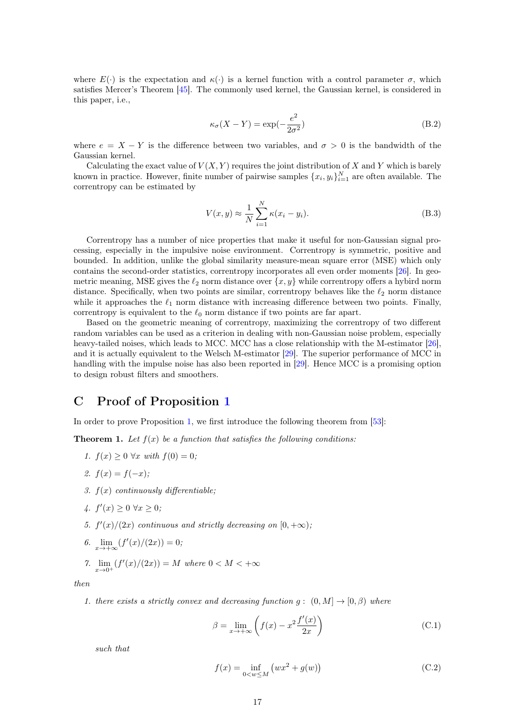where  $E(\cdot)$  is the expectation and  $\kappa(\cdot)$  is a kernel function with a control parameter  $\sigma$ , which satisfies Mercer's Theorem [\[45\]](#page-20-0). The commonly used kernel, the Gaussian kernel, is considered in this paper, i.e.,

$$
\kappa_{\sigma}(X - Y) = \exp(-\frac{e^2}{2\sigma^2})
$$
\n(B.2)

where  $e = X - Y$  is the difference between two variables, and  $\sigma > 0$  is the bandwidth of the Gaussian kernel.

Calculating the exact value of  $V(X, Y)$  requires the joint distribution of X and Y which is barely known in practice. However, finite number of pairwise samples  $\{x_i, y_i\}_{i=1}^N$  are often available. The correntropy can be estimated by

$$
V(x,y) \approx \frac{1}{N} \sum_{i=1}^{N} \kappa (x_i - y_i).
$$
 (B.3)

Correntropy has a number of nice properties that make it useful for non-Gaussian signal processing, especially in the impulsive noise environment. Correntropy is symmetric, positive and bounded. In addition, unlike the global similarity measure-mean square error (MSE) which only contains the second-order statistics, correntropy incorporates all even order moments [\[26\]](#page-18-18). In geometric meaning, MSE gives the  $\ell_2$  norm distance over  $\{x, y\}$  while correntropy offers a hybird norm distance. Specifically, when two points are similar, correntropy behaves like the  $\ell_2$  norm distance while it approaches the  $\ell_1$  norm distance with increasing difference between two points. Finally, correntropy is equivalent to the  $\ell_0$  norm distance if two points are far apart.

Based on the geometric meaning of correntropy, maximizing the correntropy of two different random variables can be used as a criterion in dealing with non-Gaussian noise problem, especially heavy-tailed noises, which leads to MCC. MCC has a close relationship with the M-estimator [\[26\]](#page-18-18), and it is actually equivalent to the Welsch M-estimator [\[29\]](#page-19-2). The superior performance of MCC in handling with the impulse noise has also been reported in [\[29\]](#page-19-2). Hence MCC is a promising option to design robust filters and smoothers.

# <span id="page-16-0"></span>C Proof of Proposition [1](#page-5-3)

In order to prove Proposition [1,](#page-5-3) we first introduce the following theorem from [\[53\]](#page-20-8):

<span id="page-16-1"></span>**Theorem 1.** Let  $f(x)$  be a function that satisfies the following conditions:

- 1.  $f(x) > 0$   $\forall x \text{ with } f(0) = 0;$
- 2.  $f(x) = f(-x)$ ;
- 3.  $f(x)$  continuously differentiable:
- 4.  $f'(x) \geq 0 \,\forall x \geq 0;$
- 5.  $f'(x)/(2x)$  continuous and strictly decreasing on  $[0, +\infty)$ ;
- 6.  $\lim_{x \to +\infty} (f'(x)/(2x)) = 0;$
- 7.  $\lim_{x \to 0^+} (f'(x)/(2x)) = M$  where  $0 < M < +\infty$

then

1. there exists a strictly convex and decreasing function  $q: (0, M] \rightarrow [0, \beta)$  where

$$
\beta = \lim_{x \to +\infty} \left( f(x) - x^2 \frac{f'(x)}{2x} \right) \tag{C.1}
$$

such that

$$
f(x) = \inf_{0 < w \le M} \left( wx^2 + g(w) \right) \tag{C.2}
$$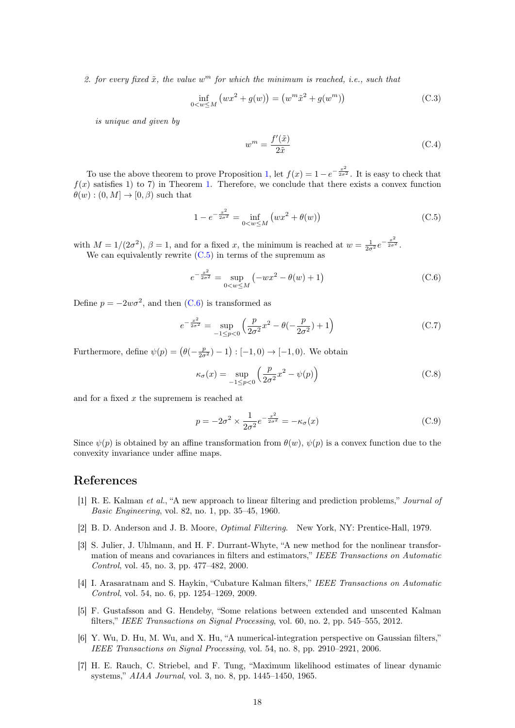2. for every fixed  $\tilde{x}$ , the value  $w^m$  for which the minimum is reached, i.e., such that

$$
\inf_{0 < w \le M} \left( w x^2 + g(w) \right) = \left( w^m \tilde{x}^2 + g(w^m) \right) \tag{C.3}
$$

is unique and given by

<span id="page-17-8"></span><span id="page-17-7"></span>
$$
w^{m} = \frac{f'(\tilde{x})}{2\tilde{x}} \tag{C.4}
$$

To use the above theorem to prove Proposition [1,](#page-5-3) let  $f(x) = 1 - e^{-\frac{x^2}{2\sigma^2}}$ . It is easy to check that  $f(x)$  satisfies 1) to 7) in Theorem [1.](#page-16-1) Therefore, we conclude that there exists a convex function  $\theta(w): (0, M] \to [0, \beta)$  such that

$$
1 - e^{-\frac{x^2}{2\sigma^2}} = \inf_{0 < w \le M} \left( wx^2 + \theta(w) \right) \tag{C.5}
$$

with  $M = 1/(2\sigma^2)$ ,  $\beta = 1$ , and for a fixed x, the minimum is reached at  $w = \frac{1}{2\sigma^2}e^{-\frac{x^2}{2\sigma^2}}$ . We can equivalently rewrite  $(C.5)$  in terms of the supremum as

$$
e^{-\frac{x^2}{2\sigma^2}} = \sup_{0 < w \le M} \left( -wx^2 - \theta(w) + 1 \right) \tag{C.6}
$$

Define  $p = -2w\sigma^2$ , and then [\(C.6\)](#page-17-8) is transformed as

$$
e^{-\frac{x^2}{2\sigma^2}} = \sup_{-1 \le p < 0} \left( \frac{p}{2\sigma^2} x^2 - \theta(-\frac{p}{2\sigma^2}) + 1 \right)
$$
 (C.7)

Furthermore, define  $\psi(p) = (\theta(-\frac{p}{2\sigma^2}) - 1) : [-1, 0) \to [-1, 0)$ . We obtain

$$
\kappa_{\sigma}(x) = \sup_{-1 \le p < 0} \left( \frac{p}{2\sigma^2} x^2 - \psi(p) \right)
$$
 (C.8)

and for a fixed  $x$  the supremem is reached at

$$
p = -2\sigma^2 \times \frac{1}{2\sigma^2} e^{-\frac{x^2}{2\sigma^2}} = -\kappa_\sigma(x)
$$
\n(C.9)

Since  $\psi(p)$  is obtained by an affine transformation from  $\theta(w)$ ,  $\psi(p)$  is a convex function due to the convexity invariance under affine maps.

### References

- <span id="page-17-0"></span>[1] R. E. Kalman et al., "A new approach to linear filtering and prediction problems," Journal of Basic Engineering, vol. 82, no. 1, pp. 35–45, 1960.
- <span id="page-17-1"></span>[2] B. D. Anderson and J. B. Moore, Optimal Filtering. New York, NY: Prentice-Hall, 1979.
- <span id="page-17-2"></span>[3] S. Julier, J. Uhlmann, and H. F. Durrant-Whyte, "A new method for the nonlinear transformation of means and covariances in filters and estimators," IEEE Transactions on Automatic Control, vol. 45, no. 3, pp. 477–482, 2000.
- <span id="page-17-3"></span>[4] I. Arasaratnam and S. Haykin, "Cubature Kalman filters," IEEE Transactions on Automatic Control, vol. 54, no. 6, pp. 1254–1269, 2009.
- <span id="page-17-4"></span>[5] F. Gustafsson and G. Hendeby, "Some relations between extended and unscented Kalman filters," IEEE Transactions on Signal Processing, vol. 60, no. 2, pp. 545–555, 2012.
- <span id="page-17-5"></span>[6] Y. Wu, D. Hu, M. Wu, and X. Hu, "A numerical-integration perspective on Gaussian filters," IEEE Transactions on Signal Processing, vol. 54, no. 8, pp. 2910–2921, 2006.
- <span id="page-17-6"></span>[7] H. E. Rauch, C. Striebel, and F. Tung, "Maximum likelihood estimates of linear dynamic systems," AIAA Journal, vol. 3, no. 8, pp. 1445–1450, 1965.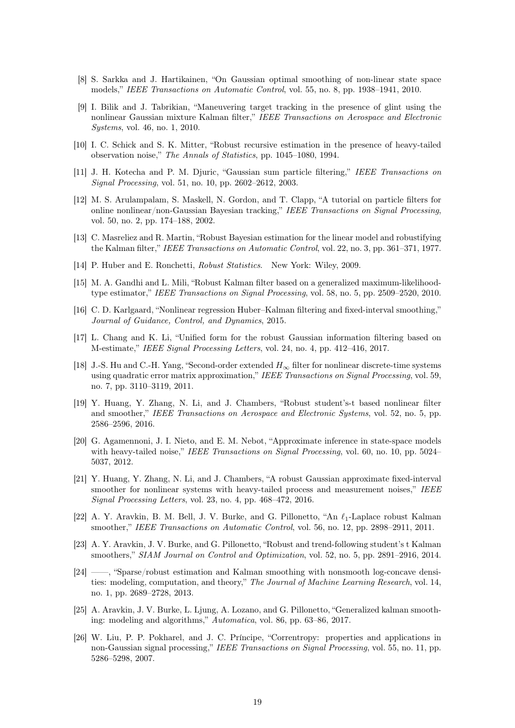- <span id="page-18-0"></span>[8] S. Sarkka and J. Hartikainen, "On Gaussian optimal smoothing of non-linear state space models," IEEE Transactions on Automatic Control, vol. 55, no. 8, pp. 1938–1941, 2010.
- <span id="page-18-1"></span>[9] I. Bilik and J. Tabrikian, "Maneuvering target tracking in the presence of glint using the nonlinear Gaussian mixture Kalman filter," IEEE Transactions on Aerospace and Electronic Systems, vol. 46, no. 1, 2010.
- <span id="page-18-2"></span>[10] I. C. Schick and S. K. Mitter, "Robust recursive estimation in the presence of heavy-tailed observation noise," The Annals of Statistics, pp. 1045–1080, 1994.
- <span id="page-18-3"></span>[11] J. H. Kotecha and P. M. Djuric, "Gaussian sum particle filtering," IEEE Transactions on Signal Processing, vol. 51, no. 10, pp. 2602–2612, 2003.
- <span id="page-18-4"></span>[12] M. S. Arulampalam, S. Maskell, N. Gordon, and T. Clapp, "A tutorial on particle filters for online nonlinear/non-Gaussian Bayesian tracking," IEEE Transactions on Signal Processing, vol. 50, no. 2, pp. 174–188, 2002.
- <span id="page-18-5"></span>[13] C. Masreliez and R. Martin, "Robust Bayesian estimation for the linear model and robustifying the Kalman filter," IEEE Transactions on Automatic Control, vol. 22, no. 3, pp. 361–371, 1977.
- <span id="page-18-6"></span>[14] P. Huber and E. Ronchetti, Robust Statistics. New York: Wiley, 2009.
- <span id="page-18-7"></span>[15] M. A. Gandhi and L. Mili, "Robust Kalman filter based on a generalized maximum-likelihoodtype estimator," IEEE Transactions on Signal Processing, vol. 58, no. 5, pp. 2509–2520, 2010.
- <span id="page-18-8"></span>[16] C. D. Karlgaard, "Nonlinear regression Huber–Kalman filtering and fixed-interval smoothing," Journal of Guidance, Control, and Dynamics, 2015.
- <span id="page-18-9"></span>[17] L. Chang and K. Li, "Unified form for the robust Gaussian information filtering based on M-estimate," IEEE Signal Processing Letters, vol. 24, no. 4, pp. 412–416, 2017.
- <span id="page-18-10"></span>[18] J.-S. Hu and C.-H. Yang, "Second-order extended  $H_{\infty}$  filter for nonlinear discrete-time systems using quadratic error matrix approximation," IEEE Transactions on Signal Processing, vol. 59, no. 7, pp. 3110–3119, 2011.
- <span id="page-18-11"></span>[19] Y. Huang, Y. Zhang, N. Li, and J. Chambers, "Robust student's-t based nonlinear filter and smoother," IEEE Transactions on Aerospace and Electronic Systems, vol. 52, no. 5, pp. 2586–2596, 2016.
- <span id="page-18-12"></span>[20] G. Agamennoni, J. I. Nieto, and E. M. Nebot, "Approximate inference in state-space models with heavy-tailed noise," IEEE Transactions on Signal Processing, vol. 60, no. 10, pp. 5024-5037, 2012.
- <span id="page-18-13"></span>[21] Y. Huang, Y. Zhang, N. Li, and J. Chambers, "A robust Gaussian approximate fixed-interval smoother for nonlinear systems with heavy-tailed process and measurement noises," IEEE Signal Processing Letters, vol. 23, no. 4, pp. 468–472, 2016.
- <span id="page-18-14"></span>[22] A. Y. Aravkin, B. M. Bell, J. V. Burke, and G. Pillonetto, "An  $\ell_1$ -Laplace robust Kalman smoother," IEEE Transactions on Automatic Control, vol. 56, no. 12, pp. 2898–2911, 2011.
- <span id="page-18-15"></span>[23] A. Y. Aravkin, J. V. Burke, and G. Pillonetto, "Robust and trend-following student's t Kalman smoothers," SIAM Journal on Control and Optimization, vol. 52, no. 5, pp. 2891–2916, 2014.
- <span id="page-18-16"></span>[24] ——, "Sparse/robust estimation and Kalman smoothing with nonsmooth log-concave densities: modeling, computation, and theory," The Journal of Machine Learning Research, vol. 14, no. 1, pp. 2689–2728, 2013.
- <span id="page-18-17"></span>[25] A. Aravkin, J. V. Burke, L. Ljung, A. Lozano, and G. Pillonetto, "Generalized kalman smoothing: modeling and algorithms," Automatica, vol. 86, pp. 63–86, 2017.
- <span id="page-18-18"></span>[26] W. Liu, P. P. Pokharel, and J. C. Príncipe, "Correntropy: properties and applications in non-Gaussian signal processing," IEEE Transactions on Signal Processing, vol. 55, no. 11, pp. 5286–5298, 2007.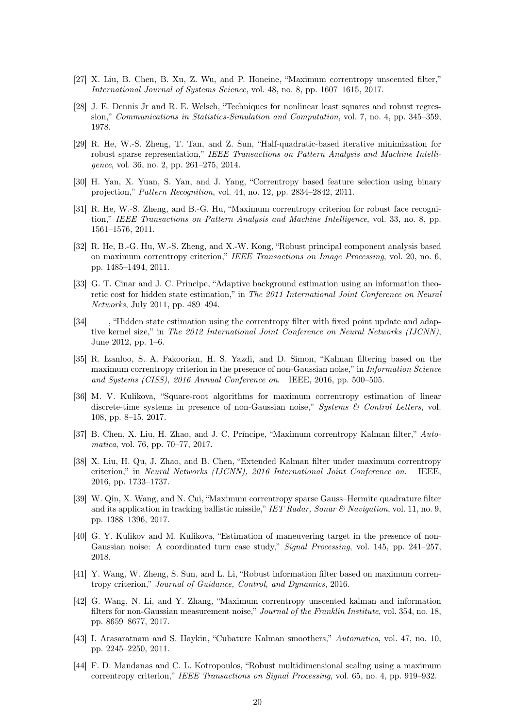- <span id="page-19-0"></span>[27] X. Liu, B. Chen, B. Xu, Z. Wu, and P. Honeine, "Maximum correntropy unscented filter," International Journal of Systems Science, vol. 48, no. 8, pp. 1607–1615, 2017.
- <span id="page-19-1"></span>[28] J. E. Dennis Jr and R. E. Welsch, "Techniques for nonlinear least squares and robust regression," Communications in Statistics-Simulation and Computation, vol. 7, no. 4, pp. 345–359, 1978.
- <span id="page-19-2"></span>[29] R. He, W.-S. Zheng, T. Tan, and Z. Sun, "Half-quadratic-based iterative minimization for robust sparse representation," IEEE Transactions on Pattern Analysis and Machine Intelligence, vol. 36, no. 2, pp. 261–275, 2014.
- <span id="page-19-3"></span>[30] H. Yan, X. Yuan, S. Yan, and J. Yang, "Correntropy based feature selection using binary projection," Pattern Recognition, vol. 44, no. 12, pp. 2834–2842, 2011.
- <span id="page-19-4"></span>[31] R. He, W.-S. Zheng, and B.-G. Hu, "Maximum correntropy criterion for robust face recognition," IEEE Transactions on Pattern Analysis and Machine Intelligence, vol. 33, no. 8, pp. 1561–1576, 2011.
- <span id="page-19-5"></span>[32] R. He, B.-G. Hu, W.-S. Zheng, and X.-W. Kong, "Robust principal component analysis based on maximum correntropy criterion," IEEE Transactions on Image Processing, vol. 20, no. 6, pp. 1485–1494, 2011.
- <span id="page-19-6"></span>[33] G. T. Cinar and J. C. Principe, "Adaptive background estimation using an information theoretic cost for hidden state estimation," in The 2011 International Joint Conference on Neural Networks, July 2011, pp. 489–494.
- <span id="page-19-7"></span>[34] ——, "Hidden state estimation using the correntropy filter with fixed point update and adaptive kernel size," in The 2012 International Joint Conference on Neural Networks (IJCNN), June 2012, pp. 1–6.
- <span id="page-19-8"></span>[35] R. Izanloo, S. A. Fakoorian, H. S. Yazdi, and D. Simon, "Kalman filtering based on the maximum correntropy criterion in the presence of non-Gaussian noise," in Information Science and Systems (CISS), 2016 Annual Conference on. IEEE, 2016, pp. 500–505.
- <span id="page-19-9"></span>[36] M. V. Kulikova, "Square-root algorithms for maximum correntropy estimation of linear discrete-time systems in presence of non-Gaussian noise," Systems  $\mathcal C$  Control Letters, vol. 108, pp. 8–15, 2017.
- <span id="page-19-10"></span>[37] B. Chen, X. Liu, H. Zhao, and J. C. Príncipe, "Maximum correntropy Kalman filter," Automatica, vol. 76, pp. 70–77, 2017.
- <span id="page-19-11"></span>[38] X. Liu, H. Qu, J. Zhao, and B. Chen, "Extended Kalman filter under maximum correntropy criterion," in Neural Networks (IJCNN), 2016 International Joint Conference on. IEEE, 2016, pp. 1733–1737.
- <span id="page-19-12"></span>[39] W. Qin, X. Wang, and N. Cui, "Maximum correntropy sparse Gauss–Hermite quadrature filter and its application in tracking ballistic missile," IET Radar, Sonar  $\mathcal{B}$  Navigation, vol. 11, no. 9, pp. 1388–1396, 2017.
- <span id="page-19-13"></span>[40] G. Y. Kulikov and M. Kulikova, "Estimation of maneuvering target in the presence of non-Gaussian noise: A coordinated turn case study," Signal Processing, vol. 145, pp. 241–257, 2018.
- <span id="page-19-14"></span>[41] Y. Wang, W. Zheng, S. Sun, and L. Li, "Robust information filter based on maximum correntropy criterion," Journal of Guidance, Control, and Dynamics, 2016.
- <span id="page-19-15"></span>[42] G. Wang, N. Li, and Y. Zhang, "Maximum correntropy unscented kalman and information filters for non-Gaussian measurement noise," Journal of the Franklin Institute, vol. 354, no. 18, pp. 8659–8677, 2017.
- <span id="page-19-16"></span>[43] I. Arasaratnam and S. Haykin, "Cubature Kalman smoothers," Automatica, vol. 47, no. 10, pp. 2245–2250, 2011.
- <span id="page-19-17"></span>[44] F. D. Mandanas and C. L. Kotropoulos, "Robust multidimensional scaling using a maximum correntropy criterion," IEEE Transactions on Signal Processing, vol. 65, no. 4, pp. 919–932.